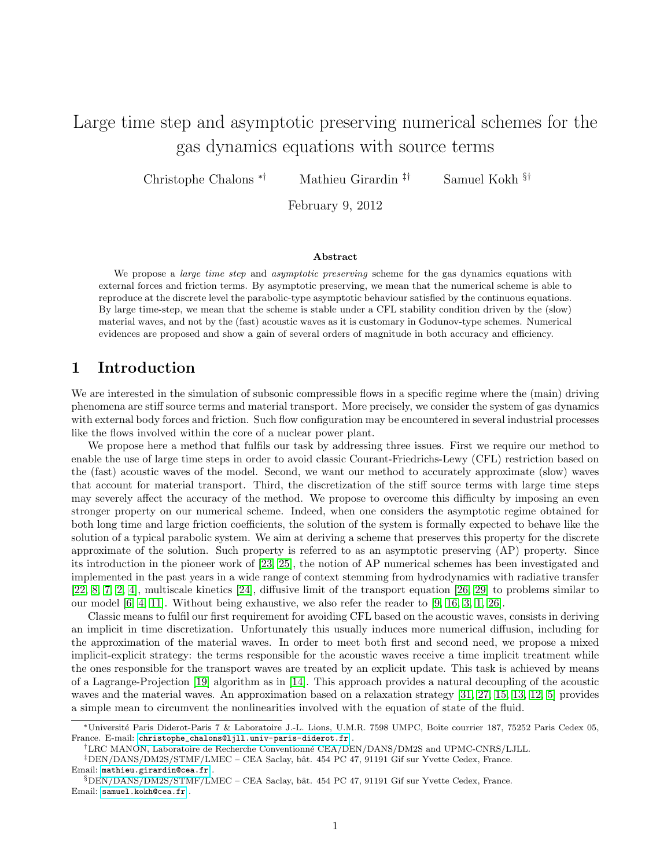# Large time step and asymptotic preserving numerical schemes for the gas dynamics equations with source terms

Christophe Chalons ∗† Mathieu Girardin ‡† Samuel Kokh §†

February 9, 2012

#### Abstract

We propose a *large time step* and *asymptotic preserving* scheme for the gas dynamics equations with external forces and friction terms. By asymptotic preserving, we mean that the numerical scheme is able to reproduce at the discrete level the parabolic-type asymptotic behaviour satisfied by the continuous equations. By large time-step, we mean that the scheme is stable under a CFL stability condition driven by the (slow) material waves, and not by the (fast) acoustic waves as it is customary in Godunov-type schemes. Numerical evidences are proposed and show a gain of several orders of magnitude in both accuracy and efficiency.

### 1 Introduction

We are interested in the simulation of subsonic compressible flows in a specific regime where the (main) driving phenomena are stiff source terms and material transport. More precisely, we consider the system of gas dynamics with external body forces and friction. Such flow configuration may be encountered in several industrial processes like the flows involved within the core of a nuclear power plant.

We propose here a method that fulfils our task by addressing three issues. First we require our method to enable the use of large time steps in order to avoid classic Courant-Friedrichs-Lewy (CFL) restriction based on the (fast) acoustic waves of the model. Second, we want our method to accurately approximate (slow) waves that account for material transport. Third, the discretization of the stiff source terms with large time steps may severely affect the accuracy of the method. We propose to overcome this difficulty by imposing an even stronger property on our numerical scheme. Indeed, when one considers the asymptotic regime obtained for both long time and large friction coefficients, the solution of the system is formally expected to behave like the solution of a typical parabolic system. We aim at deriving a scheme that preserves this property for the discrete approximate of the solution. Such property is referred to as an asymptotic preserving (AP) property. Since its introduction in the pioneer work of [\[23,](#page-21-0) [25\]](#page-21-1), the notion of AP numerical schemes has been investigated and implemented in the past years in a wide range of context stemming from hydrodynamics with radiative transfer [\[22,](#page-21-2) [8,](#page-19-0) [7,](#page-19-1) [2,](#page-19-2) [4\]](#page-19-3), multiscale kinetics [\[24\]](#page-21-3), diffusive limit of the transport equation [\[26,](#page-21-4) [29\]](#page-21-5) to problems similar to our model [\[6,](#page-19-4) [4,](#page-19-3) [11\]](#page-20-0). Without being exhaustive, we also refer the reader to [\[9,](#page-20-1) [16,](#page-21-6) [3,](#page-19-5) [1,](#page-19-6) [26\]](#page-21-4).

Classic means to fulfil our first requirement for avoiding CFL based on the acoustic waves, consists in deriving an implicit in time discretization. Unfortunately this usually induces more numerical diffusion, including for the approximation of the material waves. In order to meet both first and second need, we propose a mixed implicit-explicit strategy: the terms responsible for the acoustic waves receive a time implicit treatment while the ones responsible for the transport waves are treated by an explicit update. This task is achieved by means of a Lagrange-Projection [\[19\]](#page-21-7) algorithm as in [\[14\]](#page-21-8). This approach provides a natural decoupling of the acoustic waves and the material waves. An approximation based on a relaxation strategy [\[31,](#page-21-9) [27,](#page-21-10) [15,](#page-21-11) [13,](#page-21-12) [12,](#page-20-2) [5\]](#page-19-7) provides a simple mean to circumvent the nonlinearities involved with the equation of state of the fluid.

‡DEN/DANS/DM2S/STMF/LMEC – CEA Saclay, bˆat. 454 PC 47, 91191 Gif sur Yvette Cedex, France. Email: <mathieu.girardin@cea.fr> .

<sup>∗</sup>Universit´e Paris Diderot-Paris 7 & Laboratoire J.-L. Lions, U.M.R. 7598 UMPC, Boˆıte courrier 187, 75252 Paris Cedex 05, France. E-mail: [christophe\\_chalons@ljll.univ-paris-diderot.fr](christophe_chalons@ljll.univ-paris-diderot.fr) .

<sup>&</sup>lt;sup>†</sup>LRC MANON, Laboratoire de Recherche Conventionné CEA/DEN/DANS/DM2S and UPMC-CNRS/LJLL.

 $\S$ DEN/DANS/DM2S/STMF/LMEC – CEA Saclay, bât. 454 PC 47, 91191 Gif sur Yvette Cedex, France. Email: <samuel.kokh@cea.fr> .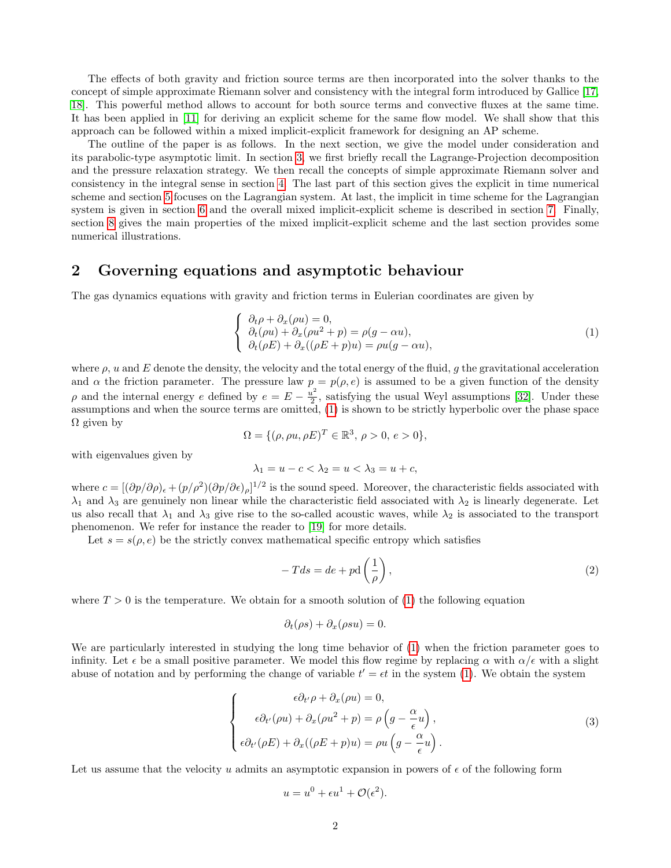The effects of both gravity and friction source terms are then incorporated into the solver thanks to the concept of simple approximate Riemann solver and consistency with the integral form introduced by Gallice [\[17,](#page-21-13) [18\]](#page-21-14). This powerful method allows to account for both source terms and convective fluxes at the same time. It has been applied in [\[11\]](#page-20-0) for deriving an explicit scheme for the same flow model. We shall show that this approach can be followed within a mixed implicit-explicit framework for designing an AP scheme.

The outline of the paper is as follows. In the next section, we give the model under consideration and its parabolic-type asymptotic limit. In section [3,](#page-2-0) we first briefly recall the Lagrange-Projection decomposition and the pressure relaxation strategy. We then recall the concepts of simple approximate Riemann solver and consistency in the integral sense in section [4.](#page-5-0) The last part of this section gives the explicit in time numerical scheme and section [5](#page-7-0) focuses on the Lagrangian system. At last, the implicit in time scheme for the Lagrangian system is given in section [6](#page-10-0) and the overall mixed implicit-explicit scheme is described in section [7.](#page-11-0) Finally, section [8](#page-11-1) gives the main properties of the mixed implicit-explicit scheme and the last section provides some numerical illustrations.

### <span id="page-1-1"></span>2 Governing equations and asymptotic behaviour

The gas dynamics equations with gravity and friction terms in Eulerian coordinates are given by

<span id="page-1-0"></span>
$$
\begin{cases}\n\partial_t \rho + \partial_x (\rho u) = 0, \\
\partial_t (\rho u) + \partial_x (\rho u^2 + p) = \rho (g - \alpha u), \\
\partial_t (\rho E) + \partial_x ((\rho E + p) u) = \rho u (g - \alpha u),\n\end{cases}
$$
\n(1)

where  $\rho$ , u and E denote the density, the velocity and the total energy of the fluid, g the gravitational acceleration and  $\alpha$  the friction parameter. The pressure law  $p = p(\rho, e)$  is assumed to be a given function of the density  $\rho$  and the internal energy e defined by  $e = E - \frac{u^2}{2}$  $\frac{1}{2}$ , satisfying the usual Weyl assumptions [\[32\]](#page-21-15). Under these assumptions and when the source terms are omitted, [\(1\)](#page-1-0) is shown to be strictly hyperbolic over the phase space  $\Omega$  given by

$$
\Omega = \{(\rho, \rho u, \rho E)^T \in \mathbb{R}^3, \, \rho > 0, \, e > 0\},\
$$

with eigenvalues given by

$$
\lambda_1 = u - c < \lambda_2 = u < \lambda_3 = u + c
$$

where  $c = [(\partial p/\partial \rho)_{\epsilon} + (p/\rho^2)(\partial p/\partial \epsilon)_{\rho}]^{1/2}$  is the sound speed. Moreover, the characteristic fields associated with  $\lambda_1$  and  $\lambda_3$  are genuinely non linear while the characteristic field associated with  $\lambda_2$  is linearly degenerate. Let us also recall that  $\lambda_1$  and  $\lambda_3$  give rise to the so-called acoustic waves, while  $\lambda_2$  is associated to the transport phenomenon. We refer for instance the reader to [\[19\]](#page-21-7) for more details.

Let  $s = s(\rho, e)$  be the strictly convex mathematical specific entropy which satisfies

<span id="page-1-2"></span>
$$
-Tds = de + pd\left(\frac{1}{\rho}\right),\tag{2}
$$

where  $T > 0$  is the temperature. We obtain for a smooth solution of [\(1\)](#page-1-0) the following equation

$$
\partial_t(\rho s) + \partial_x(\rho s u) = 0.
$$

We are particularly interested in studying the long time behavior of [\(1\)](#page-1-0) when the friction parameter goes to infinity. Let  $\epsilon$  be a small positive parameter. We model this flow regime by replacing  $\alpha$  with  $\alpha/\epsilon$  with a slight abuse of notation and by performing the change of variable  $t' = \epsilon t$  in the system [\(1\)](#page-1-0). We obtain the system

$$
\begin{cases}\n\epsilon \partial_{t'} \rho + \partial_{x} (\rho u) = 0, \\
\epsilon \partial_{t'} (\rho u) + \partial_{x} (\rho u^{2} + p) = \rho \left( g - \frac{\alpha}{\epsilon} u \right), \\
\epsilon \partial_{t'} (\rho E) + \partial_{x} ((\rho E + p) u) = \rho u \left( g - \frac{\alpha}{\epsilon} u \right).\n\end{cases}
$$
\n(3)

Let us assume that the velocity u admits an asymptotic expansion in powers of  $\epsilon$  of the following form

$$
u = u^0 + \epsilon u^1 + \mathcal{O}(\epsilon^2).
$$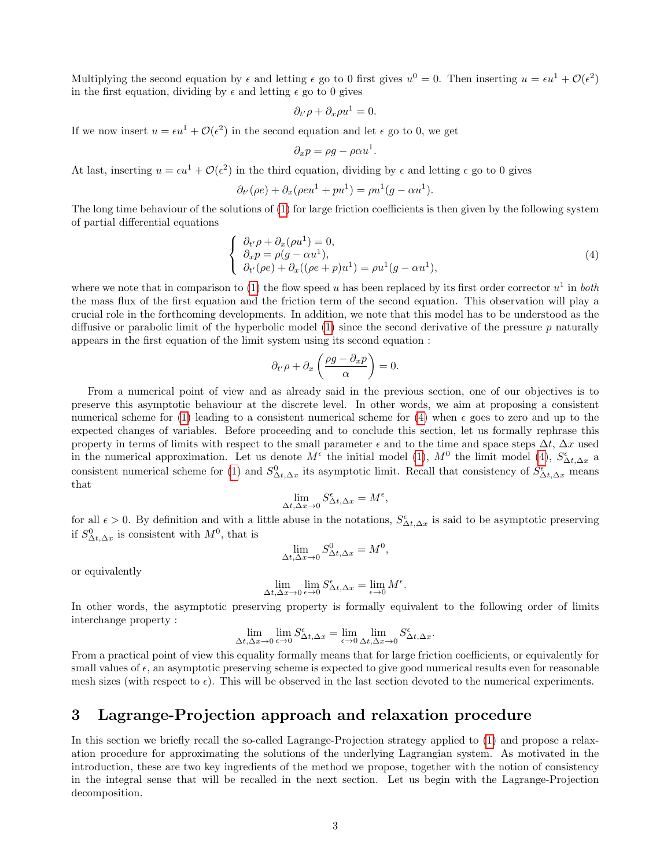Multiplying the second equation by  $\epsilon$  and letting  $\epsilon$  go to 0 first gives  $u^0 = 0$ . Then inserting  $u = \epsilon u^1 + \mathcal{O}(\epsilon^2)$ in the first equation, dividing by  $\epsilon$  and letting  $\epsilon$  go to 0 gives

$$
\partial_{t'}\rho + \partial_x\rho u^1 = 0.
$$

If we now insert  $u = \epsilon u^1 + \mathcal{O}(\epsilon^2)$  in the second equation and let  $\epsilon$  go to 0, we get

$$
\partial_x p = \rho g - \rho \alpha u^1.
$$

At last, inserting  $u = \epsilon u^1 + \mathcal{O}(\epsilon^2)$  in the third equation, dividing by  $\epsilon$  and letting  $\epsilon$  go to 0 gives

$$
\partial_{t'}(\rho e) + \partial_x(\rho e u^1 + p u^1) = \rho u^1(g - \alpha u^1).
$$

The long time behaviour of the solutions of [\(1\)](#page-1-0) for large friction coefficients is then given by the following system of partial differential equations

<span id="page-2-1"></span>
$$
\begin{cases}\n\partial_{t'}\rho + \partial_{x}(\rho u^{1}) = 0, \\
\partial_{x}p = \rho(g - \alpha u^{1}), \\
\partial_{t'}(\rho e) + \partial_{x}((\rho e + p)u^{1}) = \rho u^{1}(g - \alpha u^{1}),\n\end{cases}
$$
\n(4)

where we note that in comparison to [\(1\)](#page-1-0) the flow speed u has been replaced by its first order corrector  $u^1$  in both the mass flux of the first equation and the friction term of the second equation. This observation will play a crucial role in the forthcoming developments. In addition, we note that this model has to be understood as the diffusive or parabolic limit of the hyperbolic model  $(1)$  since the second derivative of the pressure p naturally appears in the first equation of the limit system using its second equation :

$$
\partial_{t'}\rho + \partial_x\left(\frac{\rho g - \partial_x p}{\alpha}\right) = 0.
$$

From a numerical point of view and as already said in the previous section, one of our objectives is to preserve this asymptotic behaviour at the discrete level. In other words, we aim at proposing a consistent numerical scheme for [\(1\)](#page-1-0) leading to a consistent numerical scheme for [\(4\)](#page-2-1) when  $\epsilon$  goes to zero and up to the expected changes of variables. Before proceeding and to conclude this section, let us formally rephrase this property in terms of limits with respect to the small parameter  $\epsilon$  and to the time and space steps  $\Delta t$ ,  $\Delta x$  used in the numerical approximation. Let us denote  $M^{\epsilon}$  the initial model [\(1\)](#page-1-0),  $M^{0}$  the limit model [\(4\)](#page-2-1),  $S^{\epsilon}_{\Delta t, \Delta x}$  a consistent numerical scheme for [\(1\)](#page-1-0) and  $S^0_{\Delta t,\Delta x}$  its asymptotic limit. Recall that consistency of  $S^{\epsilon}_{\Delta t,\Delta x}$  means that

$$
\lim_{\Delta t, \Delta x \to 0} S^{\epsilon}_{\Delta t, \Delta x} = M^{\epsilon},
$$

for all  $\epsilon > 0$ . By definition and with a little abuse in the notations,  $S^{\epsilon}_{\Delta t, \Delta x}$  is said to be asymptotic preserving if  $S^0_{\Delta t, \Delta x}$  is consistent with  $M^0$ , that is

$$
\lim_{\Delta t, \Delta x \to 0} S^0_{\Delta t, \Delta x} = M^0,
$$

or equivalently

$$
\lim_{\Delta t, \Delta x \to 0} \lim_{\epsilon \to 0} S^{\epsilon}_{\Delta t, \Delta x} = \lim_{\epsilon \to 0} M^{\epsilon}.
$$

In other words, the asymptotic preserving property is formally equivalent to the following order of limits interchange property :

$$
\lim_{\Delta t, \Delta x \to 0} \lim_{\epsilon \to 0} S^{\epsilon}_{\Delta t, \Delta x} = \lim_{\epsilon \to 0} \lim_{\Delta t, \Delta x \to 0} S^{\epsilon}_{\Delta t, \Delta x}.
$$

From a practical point of view this equality formally means that for large friction coefficients, or equivalently for small values of  $\epsilon$ , an asymptotic preserving scheme is expected to give good numerical results even for reasonable mesh sizes (with respect to  $\epsilon$ ). This will be observed in the last section devoted to the numerical experiments.

### <span id="page-2-0"></span>3 Lagrange-Projection approach and relaxation procedure

In this section we briefly recall the so-called Lagrange-Projection strategy applied to [\(1\)](#page-1-0) and propose a relaxation procedure for approximating the solutions of the underlying Lagrangian system. As motivated in the introduction, these are two key ingredients of the method we propose, together with the notion of consistency in the integral sense that will be recalled in the next section. Let us begin with the Lagrange-Projection decomposition.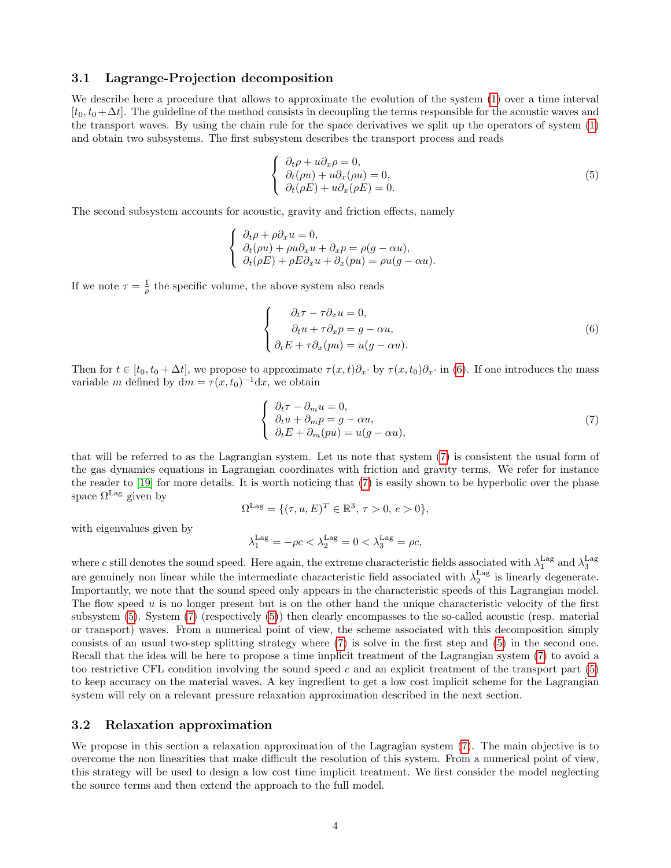### 3.1 Lagrange-Projection decomposition

We describe here a procedure that allows to approximate the evolution of the system [\(1\)](#page-1-0) over a time interval  $[t_0, t_0+\Delta t]$ . The guideline of the method consists in decoupling the terms responsible for the acoustic waves and the transport waves. By using the chain rule for the space derivatives we split up the operators of system [\(1\)](#page-1-0) and obtain two subsystems. The first subsystem describes the transport process and reads

<span id="page-3-2"></span>
$$
\begin{cases}\n\partial_t \rho + u \partial_x \rho = 0, \\
\partial_t (\rho u) + u \partial_x (\rho u) = 0, \\
\partial_t (\rho E) + u \partial_x (\rho E) = 0.\n\end{cases}
$$
\n(5)

The second subsystem accounts for acoustic, gravity and friction effects, namely

$$
\begin{cases} \n\partial_t \rho + \rho \partial_x u = 0, \\
\partial_t (\rho u) + \rho u \partial_x u + \partial_x p = \rho (g - \alpha u), \\
\partial_t (\rho E) + \rho E \partial_x u + \partial_x (pu) = \rho u (g - \alpha u). \n\end{cases}
$$

If we note  $\tau = \frac{1}{\rho}$  the specific volume, the above system also reads

<span id="page-3-0"></span>
$$
\begin{cases}\n\partial_t \tau - \tau \partial_x u = 0, \\
\partial_t u + \tau \partial_x p = g - \alpha u, \\
\partial_t E + \tau \partial_x (pu) = u(g - \alpha u).\n\end{cases}
$$
\n(6)

Then for  $t \in [t_0, t_0 + \Delta t]$ , we propose to approximate  $\tau(x, t) \partial_x \cdot$  by  $\tau(x, t_0) \partial_x \cdot$  in [\(6\)](#page-3-0). If one introduces the mass variable m defined by  $dm = \tau(x, t_0)^{-1} dx$ , we obtain

<span id="page-3-1"></span>
$$
\begin{cases}\n\partial_t \tau - \partial_m u = 0, \\
\partial_t u + \partial_m p = g - \alpha u, \\
\partial_t E + \partial_m (pu) = u(g - \alpha u),\n\end{cases}
$$
\n(7)

that will be referred to as the Lagrangian system. Let us note that system [\(7\)](#page-3-1) is consistent the usual form of the gas dynamics equations in Lagrangian coordinates with friction and gravity terms. We refer for instance the reader to [\[19\]](#page-21-7) for more details. It is worth noticing that [\(7\)](#page-3-1) is easily shown to be hyperbolic over the phase space  $\Omega^{\text{Lag}}$  given by

$$
\Omega^{\text{Lag}} = \{ (\tau, u, E)^T \in \mathbb{R}^3, \tau > 0, e > 0 \},\
$$

with eigenvalues given by

$$
\lambda^{\text{Lag}}_1 = -\rho c < \lambda^{\text{Lag}}_2 = 0 < \lambda^{\text{Lag}}_3 = \rho c,
$$

where c still denotes the sound speed. Here again, the extreme characteristic fields associated with  $\lambda_1^{\text{Lag}}$  and  $\lambda_3^{\text{Lag}}$ are genuinely non linear while the intermediate characteristic field associated with  $\lambda_2^{\text{Lag}}$  is linearly degenerate. Importantly, we note that the sound speed only appears in the characteristic speeds of this Lagrangian model. The flow speed  $u$  is no longer present but is on the other hand the unique characteristic velocity of the first subsystem [\(5\)](#page-3-2). System [\(7\)](#page-3-1) (respectively [\(5\)](#page-3-2)) then clearly encompasses to the so-called acoustic (resp. material or transport) waves. From a numerical point of view, the scheme associated with this decomposition simply consists of an usual two-step splitting strategy where [\(7\)](#page-3-1) is solve in the first step and [\(5\)](#page-3-2) in the second one. Recall that the idea will be here to propose a time implicit treatment of the Lagrangian system [\(7\)](#page-3-1) to avoid a too restrictive CFL condition involving the sound speed  $c$  and an explicit treatment of the transport part  $(5)$ to keep accuracy on the material waves. A key ingredient to get a low cost implicit scheme for the Lagrangian system will rely on a relevant pressure relaxation approximation described in the next section.

### 3.2 Relaxation approximation

We propose in this section a relaxation approximation of the Lagragian system [\(7\)](#page-3-1). The main objective is to overcome the non linearities that make difficult the resolution of this system. From a numerical point of view, this strategy will be used to design a low cost time implicit treatment. We first consider the model neglecting the source terms and then extend the approach to the full model.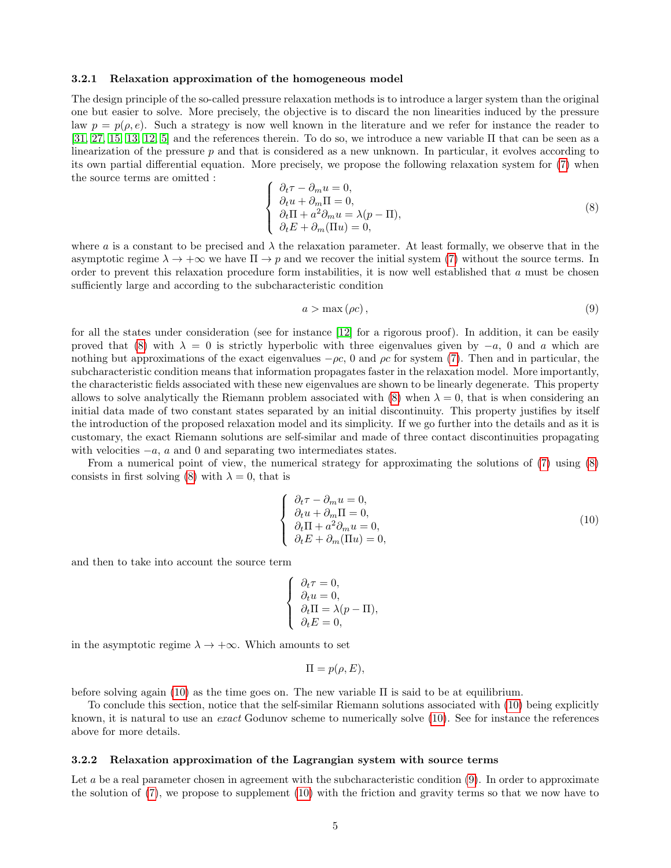#### 3.2.1 Relaxation approximation of the homogeneous model

The design principle of the so-called pressure relaxation methods is to introduce a larger system than the original one but easier to solve. More precisely, the objective is to discard the non linearities induced by the pressure law  $p = p(\rho, e)$ . Such a strategy is now well known in the literature and we refer for instance the reader to  $[31, 27, 15, 13, 12, 5]$  $[31, 27, 15, 13, 12, 5]$  $[31, 27, 15, 13, 12, 5]$  $[31, 27, 15, 13, 12, 5]$  $[31, 27, 15, 13, 12, 5]$  $[31, 27, 15, 13, 12, 5]$  and the references therein. To do so, we introduce a new variable  $\Pi$  that can be seen as a linearization of the pressure  $p$  and that is considered as a new unknown. In particular, it evolves according to its own partial differential equation. More precisely, we propose the following relaxation system for [\(7\)](#page-3-1) when the source terms are omitted :

<span id="page-4-0"></span>
$$
\begin{cases}\n\partial_t \tau - \partial_m u = 0, \\
\partial_t u + \partial_m \Pi = 0, \\
\partial_t \Pi + a^2 \partial_m u = \lambda (p - \Pi), \\
\partial_t E + \partial_m (\Pi u) = 0,\n\end{cases}
$$
\n(8)

where a is a constant to be precised and  $\lambda$  the relaxation parameter. At least formally, we observe that in the asymptotic regime  $\lambda \to +\infty$  we have  $\Pi \to p$  and we recover the initial system [\(7\)](#page-3-1) without the source terms. In order to prevent this relaxation procedure form instabilities, it is now well established that a must be chosen sufficiently large and according to the subcharacteristic condition

<span id="page-4-2"></span>
$$
a > \max(\rho c),\tag{9}
$$

for all the states under consideration (see for instance [\[12\]](#page-20-2) for a rigorous proof). In addition, it can be easily proved that [\(8\)](#page-4-0) with  $\lambda = 0$  is strictly hyperbolic with three eigenvalues given by  $-a$ , 0 and a which are nothing but approximations of the exact eigenvalues  $-\rho c$ , 0 and  $\rho c$  for system [\(7\)](#page-3-1). Then and in particular, the subcharacteristic condition means that information propagates faster in the relaxation model. More importantly, the characteristic fields associated with these new eigenvalues are shown to be linearly degenerate. This property allows to solve analytically the Riemann problem associated with  $(8)$  when  $\lambda = 0$ , that is when considering an initial data made of two constant states separated by an initial discontinuity. This property justifies by itself the introduction of the proposed relaxation model and its simplicity. If we go further into the details and as it is customary, the exact Riemann solutions are self-similar and made of three contact discontinuities propagating with velocities  $-a$ , a and 0 and separating two intermediates states.

From a numerical point of view, the numerical strategy for approximating the solutions of [\(7\)](#page-3-1) using [\(8\)](#page-4-0) consists in first solving [\(8\)](#page-4-0) with  $\lambda = 0$ , that is

<span id="page-4-1"></span>
$$
\begin{cases}\n\partial_t \tau - \partial_m u = 0, \\
\partial_t u + \partial_m \Pi = 0, \\
\partial_t \Pi + a^2 \partial_m u = 0, \\
\partial_t E + \partial_m (\Pi u) = 0,\n\end{cases}
$$
\n(10)

and then to take into account the source term

$$
\begin{cases}\n\partial_t \tau = 0, \\
\partial_t u = 0, \\
\partial_t \Pi = \lambda (p - \Pi), \\
\partial_t E = 0,\n\end{cases}
$$

in the asymptotic regime  $\lambda \to +\infty$ . Which amounts to set

$$
\Pi = p(\rho, E),
$$

before solving again [\(10\)](#page-4-1) as the time goes on. The new variable  $\Pi$  is said to be at equilibrium.

To conclude this section, notice that the self-similar Riemann solutions associated with [\(10\)](#page-4-1) being explicitly known, it is natural to use an *exact* Godunov scheme to numerically solve [\(10\)](#page-4-1). See for instance the references above for more details.

#### 3.2.2 Relaxation approximation of the Lagrangian system with source terms

Let a be a real parameter chosen in agreement with the subcharacteristic condition [\(9\)](#page-4-2). In order to approximate the solution of [\(7\)](#page-3-1), we propose to supplement [\(10\)](#page-4-1) with the friction and gravity terms so that we now have to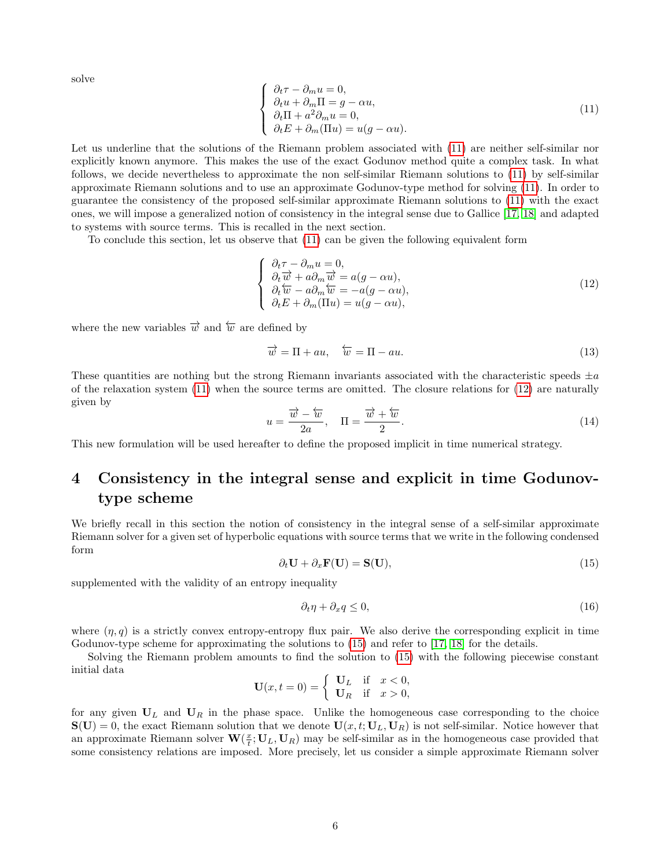solve

<span id="page-5-1"></span>
$$
\begin{cases}\n\partial_t \tau - \partial_m u = 0, \\
\partial_t u + \partial_m \Pi = g - \alpha u, \\
\partial_t \Pi + a^2 \partial_m u = 0, \\
\partial_t E + \partial_m (\Pi u) = u(g - \alpha u).\n\end{cases}
$$
\n(11)

Let us underline that the solutions of the Riemann problem associated with [\(11\)](#page-5-1) are neither self-similar nor explicitly known anymore. This makes the use of the exact Godunov method quite a complex task. In what follows, we decide nevertheless to approximate the non self-similar Riemann solutions to [\(11\)](#page-5-1) by self-similar approximate Riemann solutions and to use an approximate Godunov-type method for solving [\(11\)](#page-5-1). In order to guarantee the consistency of the proposed self-similar approximate Riemann solutions to [\(11\)](#page-5-1) with the exact ones, we will impose a generalized notion of consistency in the integral sense due to Gallice [\[17,](#page-21-13) [18\]](#page-21-14) and adapted to systems with source terms. This is recalled in the next section.

To conclude this section, let us observe that [\(11\)](#page-5-1) can be given the following equivalent form

<span id="page-5-2"></span>
$$
\begin{cases}\n\partial_t \tau - \partial_m u = 0, \\
\partial_t \overrightarrow{w} + a \partial_m \overrightarrow{w} = a(g - \alpha u), \\
\partial_t \overleftarrow{w} - a \partial_m \overleftarrow{w} = -a(g - \alpha u), \\
\partial_t E + \partial_m (\Pi u) = u(g - \alpha u),\n\end{cases}
$$
\n(12)

where the new variables  $\vec{w}$  and  $\vec{w}$  are defined by

$$
\overrightarrow{w} = \Pi + au, \quad \overleftarrow{w} = \Pi - au. \tag{13}
$$

These quantities are nothing but the strong Riemann invariants associated with the characteristic speeds  $\pm a$ of the relaxation system [\(11\)](#page-5-1) when the source terms are omitted. The closure relations for [\(12\)](#page-5-2) are naturally given by

$$
u = \frac{\overrightarrow{w} - \overleftarrow{w}}{2a}, \quad \Pi = \frac{\overrightarrow{w} + \overleftarrow{w}}{2}.
$$
\n(14)

This new formulation will be used hereafter to define the proposed implicit in time numerical strategy.

## <span id="page-5-0"></span>4 Consistency in the integral sense and explicit in time Godunovtype scheme

We briefly recall in this section the notion of consistency in the integral sense of a self-similar approximate Riemann solver for a given set of hyperbolic equations with source terms that we write in the following condensed form

<span id="page-5-3"></span>
$$
\partial_t \mathbf{U} + \partial_x \mathbf{F}(\mathbf{U}) = \mathbf{S}(\mathbf{U}),\tag{15}
$$

supplemented with the validity of an entropy inequality

<span id="page-5-4"></span>
$$
\partial_t \eta + \partial_x q \le 0,\tag{16}
$$

where  $(\eta, q)$  is a strictly convex entropy-entropy flux pair. We also derive the corresponding explicit in time Godunov-type scheme for approximating the solutions to [\(15\)](#page-5-3) and refer to [\[17,](#page-21-13) [18\]](#page-21-14) for the details.

Solving the Riemann problem amounts to find the solution to [\(15\)](#page-5-3) with the following piecewise constant initial data

$$
\mathbf{U}(x,t=0) = \begin{cases} \mathbf{U}_L & \text{if } x < 0, \\ \mathbf{U}_R & \text{if } x > 0, \end{cases}
$$

for any given  $U_L$  and  $U_R$  in the phase space. Unlike the homogeneous case corresponding to the choice  $\mathbf{S}(\mathbf{U})=0$ , the exact Riemann solution that we denote  $\mathbf{U}(x,t;\mathbf{U}_L,\mathbf{U}_R)$  is not self-similar. Notice however that an approximate Riemann solver  $\mathbf{W}(\frac{x}{t}; \mathbf{U}_L, \mathbf{U}_R)$  may be self-similar as in the homogeneous case provided that some consistency relations are imposed. More precisely, let us consider a simple approximate Riemann solver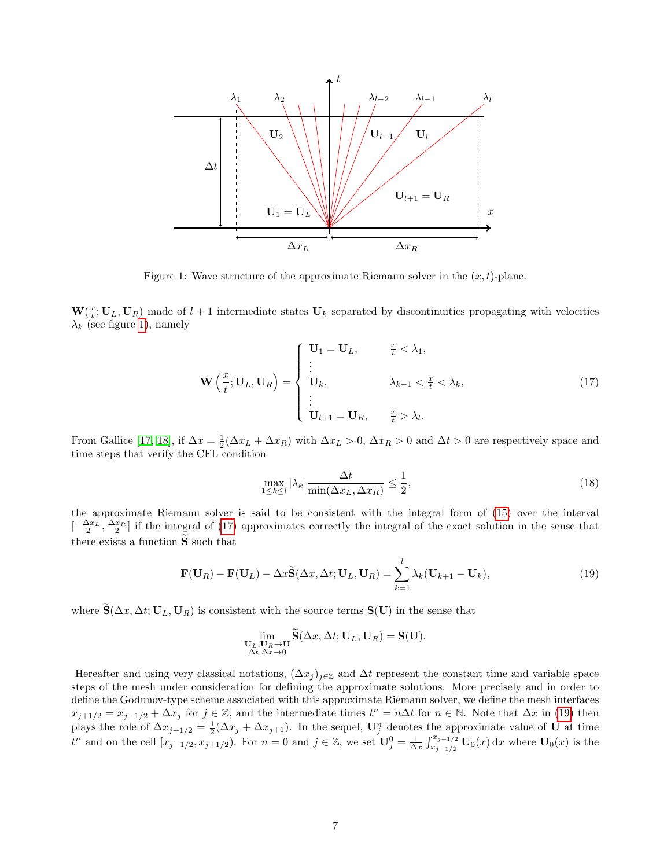

<span id="page-6-0"></span>Figure 1: Wave structure of the approximate Riemann solver in the  $(x, t)$ -plane.

 $\mathbf{W}(\frac{x}{t}; \mathbf{U}_L, \mathbf{U}_R)$  made of  $l+1$  intermediate states  $\mathbf{U}_k$  separated by discontinuities propagating with velocities  $\lambda_k$  (see figure [1\)](#page-6-0), namely

<span id="page-6-1"></span>
$$
\mathbf{W}\left(\frac{x}{t};\mathbf{U}_L,\mathbf{U}_R\right) = \begin{cases} \mathbf{U}_1 = \mathbf{U}_L, & \frac{x}{t} < \lambda_1, \\ \vdots & \lambda_{k-1} < \frac{x}{t} < \lambda_k, \\ \vdots & \vdots \\ \mathbf{U}_{l+1} = \mathbf{U}_R, & \frac{x}{t} > \lambda_l. \end{cases}
$$
(17)

From Gallice [\[17,](#page-21-13) [18\]](#page-21-14), if  $\Delta x = \frac{1}{2}(\Delta x_L + \Delta x_R)$  with  $\Delta x_L > 0$ ,  $\Delta x_R > 0$  and  $\Delta t > 0$  are respectively space and time steps that verify the CFL condition

<span id="page-6-3"></span>
$$
\max_{1 \le k \le l} |\lambda_k| \frac{\Delta t}{\min(\Delta x_L, \Delta x_R)} \le \frac{1}{2},\tag{18}
$$

the approximate Riemann solver is said to be consistent with the integral form of [\(15\)](#page-5-3) over the interval  $\left[-\frac{\Delta x_L}{2}, \frac{\Delta x_R}{2}\right]$  if the integral of [\(17\)](#page-6-1) approximates correctly the integral of the exact solution in the sense that there exists a function  $\widetilde{S}$  such that

<span id="page-6-2"></span>
$$
\mathbf{F}(\mathbf{U}_R) - \mathbf{F}(\mathbf{U}_L) - \Delta x \widetilde{\mathbf{S}}(\Delta x, \Delta t; \mathbf{U}_L, \mathbf{U}_R) = \sum_{k=1}^l \lambda_k (\mathbf{U}_{k+1} - \mathbf{U}_k),
$$
\n(19)

where  $\tilde{\mathbf{S}}(\Delta x, \Delta t; \mathbf{U}_L, \mathbf{U}_R)$  is consistent with the source terms  $\mathbf{S}(\mathbf{U})$  in the sense that

$$
\lim_{\substack{\mathbf{U}_L,\mathbf{U}_R\to\mathbf{U}\\ \Delta t,\Delta x\to 0}}\widetilde{\mathbf{S}}(\Delta x,\Delta t;\mathbf{U}_L,\mathbf{U}_R)=\mathbf{S}(\mathbf{U}).
$$

Hereafter and using very classical notations,  $(\Delta x_j)_{j\in\mathbb{Z}}$  and  $\Delta t$  represent the constant time and variable space steps of the mesh under consideration for defining the approximate solutions. More precisely and in order to define the Godunov-type scheme associated with this approximate Riemann solver, we define the mesh interfaces  $x_{j+1/2} = x_{j-1/2} + \Delta x_j$  for  $j \in \mathbb{Z}$ , and the intermediate times  $t^n = n\Delta t$  for  $n \in \mathbb{N}$ . Note that  $\Delta x$  in [\(19\)](#page-6-2) then plays the role of  $\Delta x_{j+1/2} = \frac{1}{2}(\Delta x_j + \Delta x_{j+1})$ . In the sequel,  $\mathbf{U}_j^n$  denotes the approximate value of U at time  $t^n$  and on the cell  $[x_{j-1/2}, x_{j+1/2})$ . For  $n = 0$  and  $j \in \mathbb{Z}$ , we set  $\mathbf{U}_{j}^0 = \frac{1}{\Delta x} \int_{x_{j-1/2}}^{x_{j+1/2}} \mathbf{U}_0(x) dx$  where  $\mathbf{U}_0(x)$  is the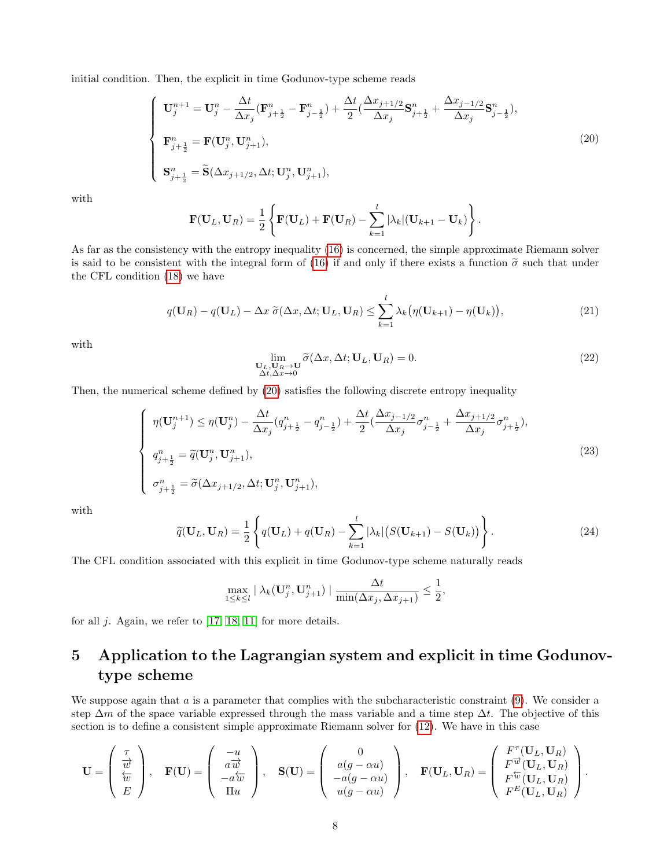initial condition. Then, the explicit in time Godunov-type scheme reads

<span id="page-7-1"></span>
$$
\begin{cases}\n\mathbf{U}_{j}^{n+1} = \mathbf{U}_{j}^{n} - \frac{\Delta t}{\Delta x_{j}} (\mathbf{F}_{j+\frac{1}{2}}^{n} - \mathbf{F}_{j-\frac{1}{2}}^{n}) + \frac{\Delta t}{2} (\frac{\Delta x_{j+1/2}}{\Delta x_{j}} \mathbf{S}_{j+\frac{1}{2}}^{n} + \frac{\Delta x_{j-1/2}}{\Delta x_{j}} \mathbf{S}_{j-\frac{1}{2}}^{n}), \\
\mathbf{F}_{j+\frac{1}{2}}^{n} = \mathbf{F}(\mathbf{U}_{j}^{n}, \mathbf{U}_{j+1}^{n}), \\
\mathbf{S}_{j+\frac{1}{2}}^{n} = \widetilde{\mathbf{S}}(\Delta x_{j+1/2}, \Delta t; \mathbf{U}_{j}^{n}, \mathbf{U}_{j+1}^{n}),\n\end{cases}
$$
\n(20)

with

$$
\mathbf{F}(\mathbf{U}_L, \mathbf{U}_R) = \frac{1}{2} \left\{ \mathbf{F}(\mathbf{U}_L) + \mathbf{F}(\mathbf{U}_R) - \sum_{k=1}^l |\lambda_k| (\mathbf{U}_{k+1} - \mathbf{U}_k) \right\}.
$$

As far as the consistency with the entropy inequality [\(16\)](#page-5-4) is concerned, the simple approximate Riemann solver is said to be consistent with the integral form of [\(16\)](#page-5-4) if and only if there exists a function  $\tilde{\sigma}$  such that under the CFL condition [\(18\)](#page-6-3) we have

<span id="page-7-2"></span>
$$
q(\mathbf{U}_R) - q(\mathbf{U}_L) - \Delta x \ \tilde{\sigma}(\Delta x, \Delta t; \mathbf{U}_L, \mathbf{U}_R) \le \sum_{k=1}^l \lambda_k \big( \eta(\mathbf{U}_{k+1}) - \eta(\mathbf{U}_k) \big),\tag{21}
$$

with

$$
\lim_{\substack{\mathbf{U}_L, \mathbf{U}_R \to \mathbf{U} \\ \Delta t, \Delta x \to 0}} \widetilde{\sigma}(\Delta x, \Delta t; \mathbf{U}_L, \mathbf{U}_R) = 0.
$$
\n(22)

Then, the numerical scheme defined by [\(20\)](#page-7-1) satisfies the following discrete entropy inequality

<span id="page-7-3"></span>
$$
\begin{cases}\n\eta(\mathbf{U}_{j}^{n+1}) \leq \eta(\mathbf{U}_{j}^{n}) - \frac{\Delta t}{\Delta x_{j}} (q_{j+\frac{1}{2}}^{n} - q_{j-\frac{1}{2}}^{n}) + \frac{\Delta t}{2} (\frac{\Delta x_{j-1/2}}{\Delta x_{j}} \sigma_{j-\frac{1}{2}}^{n} + \frac{\Delta x_{j+1/2}}{\Delta x_{j}} \sigma_{j+\frac{1}{2}}^{n}), \\
q_{j+\frac{1}{2}}^{n} = \widetilde{q}(\mathbf{U}_{j}^{n}, \mathbf{U}_{j+1}^{n}), \\
\sigma_{j+\frac{1}{2}}^{n} = \widetilde{\sigma}(\Delta x_{j+1/2}, \Delta t; \mathbf{U}_{j}^{n}, \mathbf{U}_{j+1}^{n}),\n\end{cases} (23)
$$

with

<span id="page-7-4"></span>
$$
\widetilde{q}(\mathbf{U}_L, \mathbf{U}_R) = \frac{1}{2} \left\{ q(\mathbf{U}_L) + q(\mathbf{U}_R) - \sum_{k=1}^l |\lambda_k| \big( S(\mathbf{U}_{k+1}) - S(\mathbf{U}_k) \big) \right\}.
$$
\n(24)

The CFL condition associated with this explicit in time Godunov-type scheme naturally reads

$$
\max_{1 \leq k \leq l} |\lambda_k(\mathbf{U}_j^n, \mathbf{U}_{j+1}^n)| \frac{\Delta t}{\min(\Delta x_j, \Delta x_{j+1})} \leq \frac{1}{2},
$$

for all  $j$ . Again, we refer to [\[17,](#page-21-13) [18,](#page-21-14) [11\]](#page-20-0) for more details.

## <span id="page-7-0"></span>5 Application to the Lagrangian system and explicit in time Godunovtype scheme

We suppose again that  $a$  is a parameter that complies with the subcharacteristic constraint  $(9)$ . We consider a step  $\Delta m$  of the space variable expressed through the mass variable and a time step  $\Delta t$ . The objective of this section is to define a consistent simple approximate Riemann solver for [\(12\)](#page-5-2). We have in this case

$$
\mathbf{U} = \begin{pmatrix} \frac{\tau}{w} \\ \frac{\tau}{w} \\ E \end{pmatrix}, \quad \mathbf{F}(\mathbf{U}) = \begin{pmatrix} -u \\ a\overline{w} \\ -a\overline{w} \\ \overline{u}u \end{pmatrix}, \quad \mathbf{S}(\mathbf{U}) = \begin{pmatrix} 0 \\ a(g - \alpha u) \\ -a(g - \alpha u) \\ u(g - \alpha u) \end{pmatrix}, \quad \mathbf{F}(\mathbf{U}_L, \mathbf{U}_R) = \begin{pmatrix} F^{\tau}(\mathbf{U}_L, \mathbf{U}_R) \\ F^{\overline{w}}(\mathbf{U}_L, \mathbf{U}_R) \\ F^{\overline{w}}(\mathbf{U}_L, \mathbf{U}_R) \\ F^E(\mathbf{U}_L, \mathbf{U}_R) \end{pmatrix}.
$$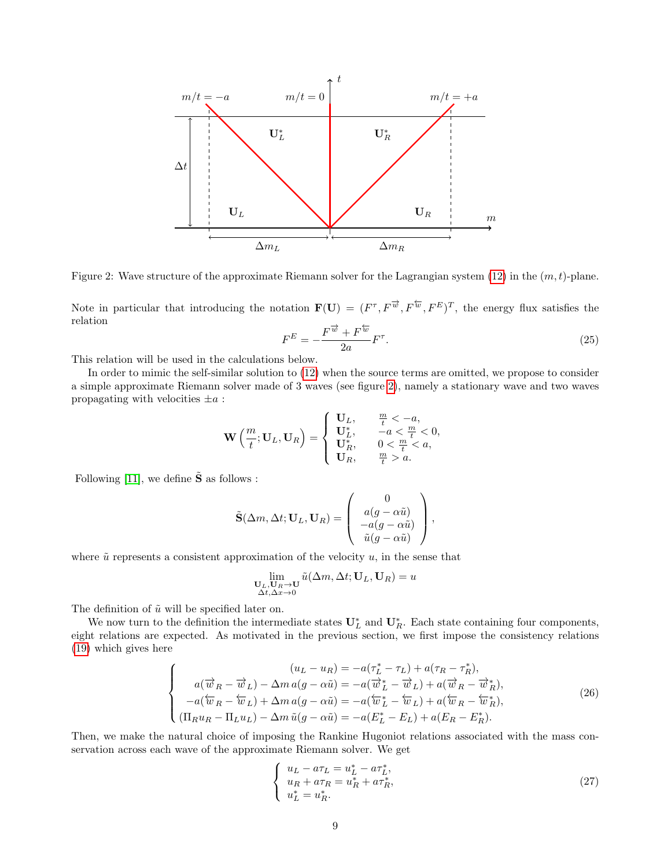

<span id="page-8-0"></span>Figure 2: Wave structure of the approximate Riemann solver for the Lagrangian system  $(12)$  in the  $(m, t)$ -plane.

Note in particular that introducing the notation  $\mathbf{F}(\mathbf{U}) = (F^{\tau}, F^{\overrightarrow{w}}, F^{\overleftarrow{w}}, F^{\overleftarrow{E}})^T$ , the energy flux satisfies the relation

<span id="page-8-3"></span>
$$
F^{E} = -\frac{F^{\overrightarrow{w}} + F^{\overleftarrow{w}}}{2a}F^{\tau}.
$$
\n(25)

This relation will be used in the calculations below.

In order to mimic the self-similar solution to [\(12\)](#page-5-2) when the source terms are omitted, we propose to consider a simple approximate Riemann solver made of 3 waves (see figure [2\)](#page-8-0), namely a stationary wave and two waves propagating with velocities  $\pm a$ :

$$
\mathbf{W}\left(\frac{m}{t};\mathbf{U}_L,\mathbf{U}_R\right) = \begin{cases} \mathbf{U}_L, & \frac{m}{t} < -a, \\ \mathbf{U}_L^*, & -a < \frac{m}{t} < 0, \\ \mathbf{U}_R^*, & 0 < \frac{m}{t} < a, \\ \mathbf{U}_R, & \frac{m}{t} > a. \end{cases}
$$

Following [\[11\]](#page-20-0), we define  $\tilde{\mathbf{S}}$  as follows :

$$
\tilde{\mathbf{S}}(\Delta m, \Delta t; \mathbf{U}_L, \mathbf{U}_R) = \begin{pmatrix} 0 \\ a(g - \alpha \tilde{u}) \\ -a(g - \alpha \tilde{u}) \\ \tilde{u}(g - \alpha \tilde{u}) \end{pmatrix},
$$

where  $\tilde{u}$  represents a consistent approximation of the velocity  $u$ , in the sense that

$$
\lim_{\substack{\mathbf{U}_L,\mathbf{U}_R\to\mathbf{U}\\ \Delta t,\Delta x\to 0}} \tilde{u}(\Delta m,\Delta t;\mathbf{U}_L,\mathbf{U}_R) = u
$$

The definition of  $\tilde{u}$  will be specified later on.

We now turn to the definition the intermediate states  $U_L^*$  and  $U_R^*$ . Each state containing four components, eight relations are expected. As motivated in the previous section, we first impose the consistency relations [\(19\)](#page-6-2) which gives here

<span id="page-8-2"></span>
$$
\begin{cases}\n(u_L - u_R) = -a(\tau_L^* - \tau_L) + a(\tau_R - \tau_R^*), \\
a(\overrightarrow{w}_R - \overrightarrow{w}_L) - \Delta m a(g - \alpha \tilde{u}) = -a(\overrightarrow{w}_L^* - \overrightarrow{w}_L) + a(\overrightarrow{w}_R - \overrightarrow{w}_R^*), \\
-a(\overleftarrow{w}_R - \overleftarrow{w}_L) + \Delta m a(g - \alpha \tilde{u}) = -a(\overleftarrow{w}_L^* - \overleftarrow{w}_L) + a(\overleftarrow{w}_R - \overleftarrow{w}_R^*), \\
(\Pi_R u_R - \Pi_L u_L) - \Delta m \tilde{u}(g - \alpha \tilde{u}) = -a(E_L^* - E_L) + a(E_R - E_R^*).\n\end{cases} (26)
$$

Then, we make the natural choice of imposing the Rankine Hugoniot relations associated with the mass conservation across each wave of the approximate Riemann solver. We get

<span id="page-8-1"></span>
$$
\begin{cases}\n u_L - a\tau_L = u_L^* - a\tau_L^*, \\
 u_R + a\tau_R = u_R^* + a\tau_R^*, \\
 u_L^* = u_R^*. \n\end{cases} \n(27)
$$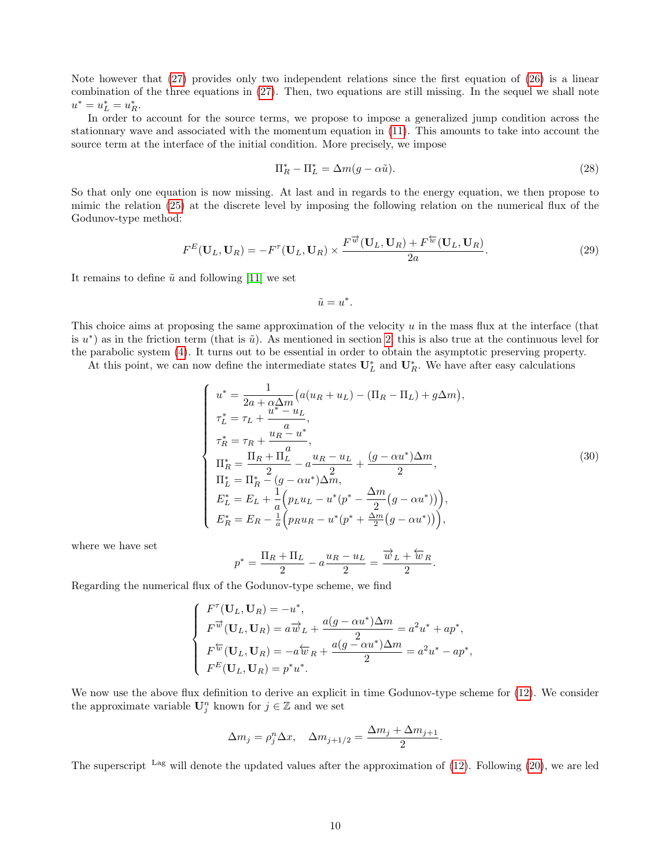Note however that [\(27\)](#page-8-1) provides only two independent relations since the first equation of [\(26\)](#page-8-2) is a linear combination of the three equations in [\(27\)](#page-8-1). Then, two equations are still missing. In the sequel we shall note  $u^* = u_L^* = u_R^*$ .

In order to account for the source terms, we propose to impose a generalized jump condition across the stationnary wave and associated with the momentum equation in [\(11\)](#page-5-1). This amounts to take into account the source term at the interface of the initial condition. More precisely, we impose

$$
\Pi_R^* - \Pi_L^* = \Delta m (g - \alpha \tilde{u}). \tag{28}
$$

So that only one equation is now missing. At last and in regards to the energy equation, we then propose to mimic the relation [\(25\)](#page-8-3) at the discrete level by imposing the following relation on the numerical flux of the Godunov-type method:

$$
F^{E}(\mathbf{U}_{L},\mathbf{U}_{R})=-F^{\tau}(\mathbf{U}_{L},\mathbf{U}_{R})\times\frac{F^{\overrightarrow{w}}(\mathbf{U}_{L},\mathbf{U}_{R})+F^{\overleftarrow{w}}(\mathbf{U}_{L},\mathbf{U}_{R})}{2a}.
$$
\n(29)

It remains to define  $\tilde{u}$  and following [\[11\]](#page-20-0) we set

$$
\tilde{u}=u^*.
$$

This choice aims at proposing the same approximation of the velocity u in the mass flux at the interface (that is  $u^*$  as in the friction term (that is  $\tilde{u}$ ). As mentioned in section [2,](#page-1-1) this is also true at the continuous level for the parabolic system [\(4\)](#page-2-1). It turns out to be essential in order to obtain the asymptotic preserving property.

At this point, we can now define the intermediate states  $U_L^*$  and  $U_R^*$ . We have after easy calculations

<span id="page-9-0"></span>
$$
\begin{cases}\n u^* = \frac{1}{2a + \alpha \Delta m} (a(u_R + u_L) - (\Pi_R - \Pi_L) + g\Delta m), \\
 \tau_L^* = \tau_L + \frac{u^* - u_L}{a}, \\
 \tau_R^* = \tau_R + \frac{u_R - u^*}{a}, \\
 \Pi_R^* = \frac{\Pi_R + \Pi_L^T}{2} - a\frac{u_R - u_L}{2} + \frac{(g - \alpha u^*)\Delta m}{2}, \\
 \Pi_L^* = \Pi_R^* - (g - \alpha u^*)\Delta m, \\
 E_L^* = E_L + \frac{1}{a} (p_L u_L - u^* (p^* - \frac{\Delta m}{2} (g - \alpha u^*))), \\
 E_R^* = E_R - \frac{1}{a} (p_R u_R - u^* (p^* + \frac{\Delta m}{2} (g - \alpha u^*))),\n\end{cases} \tag{30}
$$

where we have set

$$
p^* = \frac{\Pi_R + \Pi_L}{2} - a\frac{u_R - u_L}{2} = \frac{\overrightarrow{w}_L + \overleftarrow{w}_R}{2}.
$$

Regarding the numerical flux of the Godunov-type scheme, we find

$$
\begin{cases}\nF^{\tau}(\mathbf{U}_L, \mathbf{U}_R) = -u^*, \\
F^{\overrightarrow{w}}(\mathbf{U}_L, \mathbf{U}_R) = a\overrightarrow{w}_L + \frac{a(g - \alpha u^*)\Delta m}{2} = a^2 u^* + ap^*, \\
F^{\overleftarrow{w}}(\mathbf{U}_L, \mathbf{U}_R) = -a\overleftarrow{w}_R + \frac{a(g - \alpha u^*)\Delta m}{2} = a^2 u^* - ap^*, \\
F^E(\mathbf{U}_L, \mathbf{U}_R) = p^* u^*.\n\end{cases}
$$

We now use the above flux definition to derive an explicit in time Godunov-type scheme for  $(12)$ . We consider the approximate variable  $\mathbf{U}_j^n$  known for  $j\in\mathbb{Z}$  and we set

$$
\Delta m_j = \rho_j^n \Delta x, \quad \Delta m_{j+1/2} = \frac{\Delta m_j + \Delta m_{j+1}}{2}.
$$

The superscript Lag will denote the updated values after the approximation of [\(12\)](#page-5-2). Following [\(20\)](#page-7-1), we are led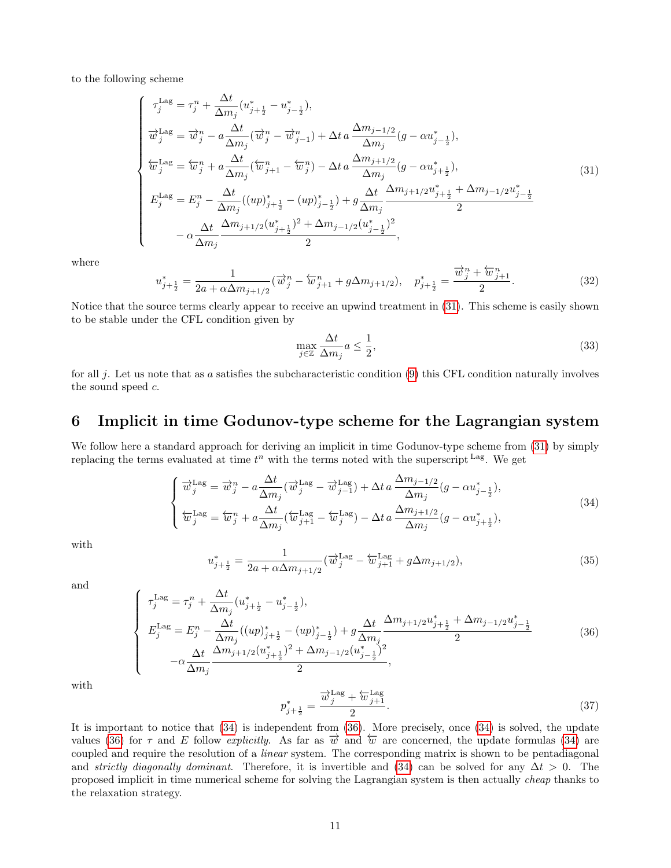to the following scheme

<span id="page-10-1"></span>
$$
\begin{cases}\n\tau_{j}^{\text{Lag}} = \tau_{j}^{n} + \frac{\Delta t}{\Delta m_{j}} (u_{j+\frac{1}{2}}^{*} - u_{j-\frac{1}{2}}^{*}), \\
\overrightarrow{w}_{j}^{\text{Lag}} = \overrightarrow{w}_{j}^{n} - a \frac{\Delta t}{\Delta m_{j}} (\overrightarrow{w}_{j}^{n} - \overrightarrow{w}_{j-1}^{n}) + \Delta t \, a \, \frac{\Delta m_{j-1/2}}{\Delta m_{j}} (g - \alpha u_{j-\frac{1}{2}}^{*}), \\
\overleftarrow{w}_{j}^{\text{Lag}} = \overleftarrow{w}_{j}^{n} + a \frac{\Delta t}{\Delta m_{j}} (\overleftarrow{w}_{j+1}^{n} - \overleftarrow{w}_{j}^{n}) - \Delta t \, a \, \frac{\Delta m_{j+1/2}}{\Delta m_{j}} (g - \alpha u_{j+\frac{1}{2}}^{*}), \\
E_{j}^{\text{Lag}} = E_{j}^{n} - \frac{\Delta t}{\Delta m_{j}} ((up)_{j+\frac{1}{2}}^{*} - (up)_{j-\frac{1}{2}}^{*}) + g \frac{\Delta t}{\Delta m_{j}} \frac{\Delta m_{j+1/2} u_{j+\frac{1}{2}}^{*} + \Delta m_{j-1/2} u_{j-\frac{1}{2}}^{*}}{2} \\
-\alpha \frac{\Delta t}{\Delta m_{j}} \frac{\Delta m_{j+1/2} (u_{j+\frac{1}{2}}^{*})^{2} + \Delta m_{j-1/2} (u_{j-\frac{1}{2}}^{*})^{2}}{2},\n\end{cases} (31)
$$

where

<span id="page-10-5"></span>
$$
u_{j+\frac{1}{2}}^* = \frac{1}{2a + \alpha \Delta m_{j+1/2}} (\overrightarrow{w}_j^n - \overleftarrow{w}_{j+1}^n + g\Delta m_{j+1/2}), \quad p_{j+\frac{1}{2}}^* = \frac{\overrightarrow{w}_j^n + \overleftarrow{w}_{j+1}^n}{2}.
$$
 (32)

Notice that the source terms clearly appear to receive an upwind treatment in [\(31\)](#page-10-1). This scheme is easily shown to be stable under the CFL condition given by

<span id="page-10-6"></span>
$$
\max_{j \in \mathbb{Z}} \frac{\Delta t}{\Delta m_j} a \le \frac{1}{2},\tag{33}
$$

for all j. Let us note that as a satisfies the subcharacteristic condition  $(9)$  this CFL condition naturally involves the sound speed c.

### <span id="page-10-0"></span>6 Implicit in time Godunov-type scheme for the Lagrangian system

We follow here a standard approach for deriving an implicit in time Godunov-type scheme from [\(31\)](#page-10-1) by simply replacing the terms evaluated at time  $t^n$  with the terms noted with the superscript Lag. We get

<span id="page-10-2"></span>
$$
\begin{cases}\n\overrightarrow{w}_{j}^{\text{Lag}} = \overrightarrow{w}_{j}^{n} - a \frac{\Delta t}{\Delta m_{j}} (\overrightarrow{w}_{j}^{\text{Lag}} - \overrightarrow{w}_{j-1}^{\text{Lag}}) + \Delta t a \frac{\Delta m_{j-1/2}}{\Delta m_{j}} (g - \alpha u_{j-\frac{1}{2}}^{*}), \\
\overleftarrow{w}_{j}^{\text{Lag}} = \overleftarrow{w}_{j}^{n} + a \frac{\Delta t}{\Delta m_{j}} (\overleftarrow{w}_{j+1}^{\text{Lag}} - \overleftarrow{w}_{j}^{\text{Lag}}) - \Delta t a \frac{\Delta m_{j+1/2}}{\Delta m_{j}} (g - \alpha u_{j+\frac{1}{2}}^{*}),\n\end{cases} (34)
$$

with

<span id="page-10-4"></span>
$$
u_{j+\frac{1}{2}}^{*} = \frac{1}{2a + \alpha \Delta m_{j+1/2}} (\overrightarrow{w}_{j}^{\text{Lag}} - \overleftarrow{w}_{j+1}^{\text{Lag}} + g\Delta m_{j+1/2}),
$$
\n(35)

and

<span id="page-10-3"></span>
$$
\begin{cases}\n\tau_j^{\text{Lag}} = \tau_j^n + \frac{\Delta t}{\Delta m_j} (u_{j+\frac{1}{2}}^* - u_{j-\frac{1}{2}}^*), \\
E_j^{\text{Lag}} = E_j^n - \frac{\Delta t}{\Delta m_j} ((up)_{j+\frac{1}{2}}^* - (up)_{j-\frac{1}{2}}^*) + g \frac{\Delta t}{\Delta m_j} \frac{\Delta m_{j+1/2} u_{j+\frac{1}{2}}^* + \Delta m_{j-1/2} u_{j-\frac{1}{2}}^*}{2} \\
-\alpha \frac{\Delta t}{\Delta m_j} \frac{\Delta m_{j+1/2} (u_{j+\frac{1}{2}}^*)^2 + \Delta m_{j-1/2} (u_{j-\frac{1}{2}}^*)^2}{2},\n\end{cases}\n\tag{36}
$$

with

$$
p_{j+\frac{1}{2}}^* = \frac{\overrightarrow{w}_j^{\text{Lag}} + \overleftarrow{w}_{j+1}^{\text{Lag}}}{2}.
$$
\n
$$
(37)
$$

It is important to notice that [\(34\)](#page-10-2) is independent from [\(36\)](#page-10-3). More precisely, once [\(34\)](#page-10-2) is solved, the update values [\(36\)](#page-10-3) for  $\tau$  and E follow explicitly. As far as  $\vec{w}$  and  $\vec{w}$  are concerned, the update formulas [\(34\)](#page-10-2) are coupled and require the resolution of a linear system. The corresponding matrix is shown to be pentadiagonal and *strictly diagonally dominant*. Therefore, it is invertible and [\(34\)](#page-10-2) can be solved for any  $\Delta t > 0$ . The proposed implicit in time numerical scheme for solving the Lagrangian system is then actually cheap thanks to the relaxation strategy.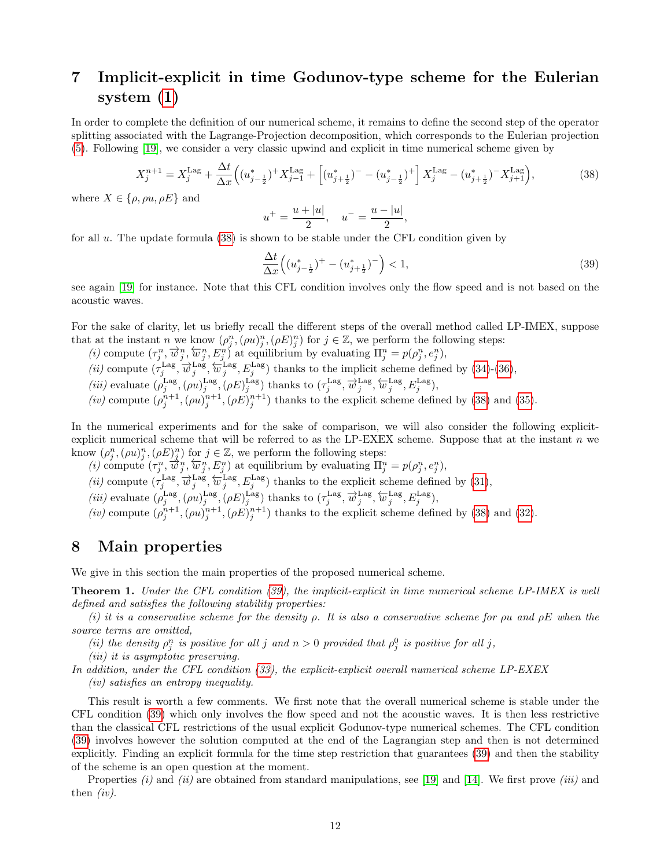## <span id="page-11-0"></span>7 Implicit-explicit in time Godunov-type scheme for the Eulerian system [\(1\)](#page-1-0)

In order to complete the definition of our numerical scheme, it remains to define the second step of the operator splitting associated with the Lagrange-Projection decomposition, which corresponds to the Eulerian projection [\(5\)](#page-3-2). Following [\[19\]](#page-21-7), we consider a very classic upwind and explicit in time numerical scheme given by

<span id="page-11-2"></span>
$$
X_j^{n+1} = X_j^{\text{Lag}} + \frac{\Delta t}{\Delta x} \left( (u_{j-\frac{1}{2}}^*)^+ X_{j-1}^{\text{Lag}} + \left[ (u_{j+\frac{1}{2}}^*)^- - (u_{j-\frac{1}{2}}^*)^+ \right] X_j^{\text{Lag}} - (u_{j+\frac{1}{2}}^*)^- X_{j+1}^{\text{Lag}} \right),\tag{38}
$$

where  $X \in \{\rho, \rho u, \rho E\}$  and

$$
u^{+} = \frac{u + |u|}{2}, \quad u^{-} = \frac{u - |u|}{2},
$$

for all  $u$ . The update formula  $(38)$  is shown to be stable under the CFL condition given by

<span id="page-11-3"></span>
$$
\frac{\Delta t}{\Delta x} \left( (u_{j - \frac{1}{2}}^*)^+ - (u_{j + \frac{1}{2}}^*)^- \right) < 1,\tag{39}
$$

see again [\[19\]](#page-21-7) for instance. Note that this CFL condition involves only the flow speed and is not based on the acoustic waves.

For the sake of clarity, let us briefly recall the different steps of the overall method called LP-IMEX, suppose that at the instant n we know  $(\rho_j^n, (\rho u)_j^n, (\rho E)_j^n)$  for  $j \in \mathbb{Z}$ , we perform the following steps:

- (*i*) compute  $(\tau_j^n, \overline{w}_j^n, \overleftarrow{w}_j^n, E_j^n)$  at equilibrium by evaluating  $\Pi_j^n = p(\rho_j^n, e_j^n)$ ,
- (*ii*) compute  $(\tau_j^{\text{Lag}}, \overline{w}_j^{\text{Lag}}, \overleftarrow{w}_j^{\text{Lag}})$  thanks to the implicit scheme defined by [\(34\)](#page-10-2)-[\(36\)](#page-10-3),
- (*iii*) evaluate  $(\rho_j^{\text{Lag}},(\rho u)_j^{\text{Lag}},(\rho E)_j^{\text{Lag}})$  thanks to  $(\tau_j^{\text{Lag}}, \overrightarrow{w}_j^{\text{Lag}}, \overleftarrow{w}_j^{\text{Lag}}, E_j^{\text{Lag}})$ ,
- (iv) compute  $(\rho_j^{n+1}, (\rho u)_j^{n+1}, (\rho E)_j^{n+1})$  thanks to the explicit scheme defined by [\(38\)](#page-11-2) and [\(35\)](#page-10-4).

In the numerical experiments and for the sake of comparison, we will also consider the following explicitexplicit numerical scheme that will be referred to as the LP-EXEX scheme. Suppose that at the instant  $n$  we know  $(\rho_j^n, (\rho u)_j^n, (\rho E)_j^n)$  for  $j \in \mathbb{Z}$ , we perform the following steps:

(*i*) compute  $(\tau_j^n, \overline{\hat{w}}_j^n, \overleftarrow{w}_j^n, E_j^n)$  at equilibrium by evaluating  $\Pi_j^n = p(\rho_j^n, e_j^n)$ ,

- (*ii*) compute  $(\tau_j^{\text{Lag}}, \overline{w}_j^{\text{Lag}}, \overleftarrow{w}_j^{\text{Lag}}, E_j^{\text{Lag}})$  thanks to the explicit scheme defined by [\(31\)](#page-10-1),
- (*iii*) evaluate  $(\rho_j^{\text{Lag}},(\rho u)_j^{\text{Lag}},(\rho E)_j^{\text{Lag}})$  thanks to  $(\tau_j^{\text{Lag}}, \overrightarrow{w}_j^{\text{Lag}}, \overleftarrow{w}_j^{\text{Lag}}, E_j^{\text{Lag}})$ ,
- (iv) compute  $(\rho_j^{n+1}, (\rho u)_j^{n+1}, (\rho E)_j^{n+1})$  thanks to the explicit scheme defined by [\(38\)](#page-11-2) and [\(32\)](#page-10-5).

### <span id="page-11-1"></span>8 Main properties

We give in this section the main properties of the proposed numerical scheme.

**Theorem 1.** Under the CFL condition [\(39\)](#page-11-3), the implicit-explicit in time numerical scheme LP-IMEX is well defined and satisfies the following stability properties:

(i) it is a conservative scheme for the density  $\rho$ . It is also a conservative scheme for  $\rho u$  and  $\rho E$  when the source terms are omitted,

(ii) the density  $\rho_j^n$  is positive for all j and  $n > 0$  provided that  $\rho_j^0$  is positive for all j,

(iii) it is asymptotic preserving.

In addition, under the CFL condition [\(33\)](#page-10-6), the explicit-explicit overall numerical scheme LP-EXEX (iv) satisfies an entropy inequality.

This result is worth a few comments. We first note that the overall numerical scheme is stable under the CFL condition [\(39\)](#page-11-3) which only involves the flow speed and not the acoustic waves. It is then less restrictive than the classical CFL restrictions of the usual explicit Godunov-type numerical schemes. The CFL condition [\(39\)](#page-11-3) involves however the solution computed at the end of the Lagrangian step and then is not determined explicitly. Finding an explicit formula for the time step restriction that guarantees [\(39\)](#page-11-3) and then the stability of the scheme is an open question at the moment.

Properties  $(i)$  and  $(ii)$  are obtained from standard manipulations, see [\[19\]](#page-21-7) and [\[14\]](#page-21-8). We first prove  $(iii)$  and then  $(iv)$ .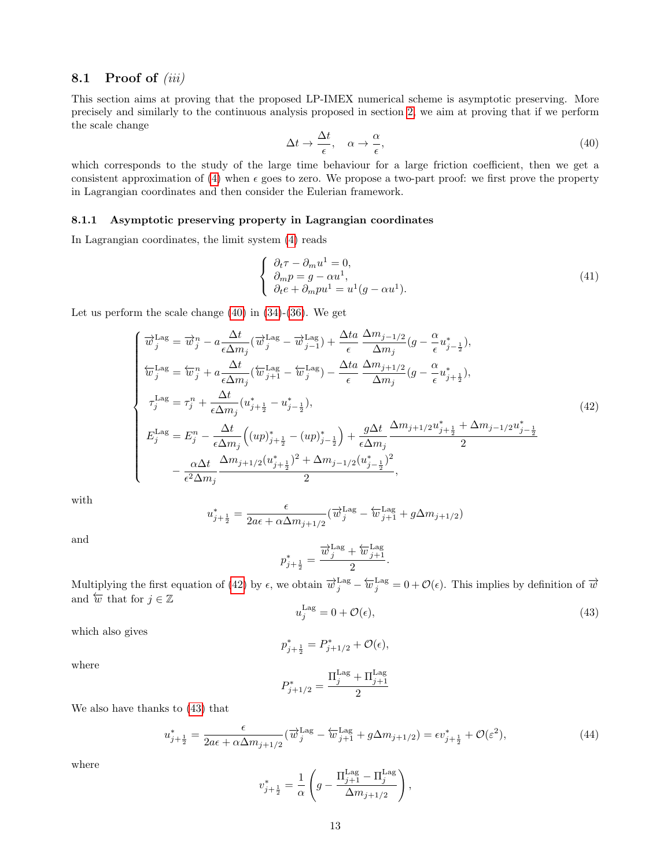### 8.1 Proof of  $(iii)$

This section aims at proving that the proposed LP-IMEX numerical scheme is asymptotic preserving. More precisely and similarly to the continuous analysis proposed in section [2,](#page-1-1) we aim at proving that if we perform the scale change

<span id="page-12-0"></span>
$$
\Delta t \to \frac{\Delta t}{\epsilon}, \quad \alpha \to \frac{\alpha}{\epsilon}, \tag{40}
$$

which corresponds to the study of the large time behaviour for a large friction coefficient, then we get a consistent approximation of [\(4\)](#page-2-1) when  $\epsilon$  goes to zero. We propose a two-part proof: we first prove the property in Lagrangian coordinates and then consider the Eulerian framework.

#### 8.1.1 Asymptotic preserving property in Lagrangian coordinates

In Lagrangian coordinates, the limit system [\(4\)](#page-2-1) reads

<span id="page-12-3"></span>
$$
\begin{cases}\n\partial_t \tau - \partial_m u^1 = 0, \\
\partial_m p = g - \alpha u^1, \\
\partial_t e + \partial_m p u^1 = u^1 (g - \alpha u^1).\n\end{cases} (41)
$$

Let us perform the scale change  $(40)$  in  $(34)-(36)$  $(34)-(36)$  $(34)-(36)$ . We get

<span id="page-12-1"></span>
$$
\begin{cases}\n\overrightarrow{w}_{j}^{\text{Lag}} = \overrightarrow{w}_{j}^{n} - a \frac{\Delta t}{\epsilon \Delta m_{j}} (\overrightarrow{w}_{j}^{\text{Lag}} - \overrightarrow{w}_{j-1}^{\text{Lag}}) + \frac{\Delta t a}{\epsilon} \frac{\Delta m_{j-1/2}}{\Delta m_{j}} (g - \frac{\alpha}{\epsilon} u_{j-\frac{1}{2}}^{*}), \\
\overleftarrow{w}_{j}^{\text{Lag}} = \overleftarrow{w}_{j}^{n} + a \frac{\Delta t}{\epsilon \Delta m_{j}} (\overleftarrow{w}_{j+1}^{\text{Lag}} - \overleftarrow{w}_{j}^{\text{Lag}}) - \frac{\Delta t a}{\epsilon} \frac{\Delta m_{j+1/2}}{\Delta m_{j}} (g - \frac{\alpha}{\epsilon} u_{j+\frac{1}{2}}^{*}), \\
\tau_{j}^{\text{Lag}} = \tau_{j}^{n} + \frac{\Delta t}{\epsilon \Delta m_{j}} (u_{j+\frac{1}{2}}^{*} - u_{j-\frac{1}{2}}^{*}), \\
E_{j}^{\text{Lag}} = E_{j}^{n} - \frac{\Delta t}{\epsilon \Delta m_{j}} ((up)_{j+\frac{1}{2}}^{*} - (up)_{j-\frac{1}{2}}^{*}) + \frac{g \Delta t}{\epsilon \Delta m_{j}} \frac{\Delta m_{j+1/2} u_{j+\frac{1}{2}}^{*} + \Delta m_{j-1/2} u_{j-\frac{1}{2}}^{*}}{2} \\
-\frac{\alpha \Delta t}{\epsilon^{2} \Delta m_{j}} \frac{\Delta m_{j+1/2} (u_{j+\frac{1}{2}}^{*})^{2} + \Delta m_{j-1/2} (u_{j-\frac{1}{2}}^{*})^{2}}{2},\n\end{cases}
$$
\n(42)

with

$$
u_{j+\frac{1}{2}}^* = \frac{\epsilon}{2a\epsilon + \alpha \Delta m_{j+1/2}} (\overrightarrow{w}^{\mathrm{Lag}}_j - \overleftarrow{w}^{\mathrm{Lag}}_{j+1} + g\Delta m_{j+1/2})
$$

and

$$
p_{j+\frac{1}{2}}^* = \frac{\overrightarrow{w}_j^{\text{Lag}} + \overleftarrow{w}_{j+1}^{\text{Lag}}}{2}.
$$

Multiplying the first equation of [\(42\)](#page-12-1) by  $\epsilon$ , we obtain  $\overrightarrow{w}_j^{\text{Lag}} - \overleftarrow{w}_j^{\text{Lag}} = 0 + \mathcal{O}(\epsilon)$ . This implies by definition of  $\overrightarrow{w}$ and  $\overleftarrow{w}$  that for  $j \in \mathbb{Z}$ 

<span id="page-12-2"></span>
$$
u_j^{\text{Lag}} = 0 + \mathcal{O}(\epsilon),\tag{43}
$$

which also gives

$$
p_{j+\frac{1}{2}}^* = P_{j+1/2}^* + \mathcal{O}(\epsilon),
$$

where

$$
P_{j+1/2}^* = \frac{\Pi_j^{\text{Lag}} + \Pi_{j+1}^{\text{Lag}}}{2}
$$

We also have thanks to [\(43\)](#page-12-2) that

$$
u_{j+\frac{1}{2}}^* = \frac{\epsilon}{2a\epsilon + \alpha \Delta m_{j+1/2}} (\overrightarrow{w}_j^{\text{Lag}} - \overleftarrow{w}_{j+1}^{\text{Lag}} + g\Delta m_{j+1/2}) = \epsilon v_{j+\frac{1}{2}}^* + \mathcal{O}(\varepsilon^2),\tag{44}
$$

where

$$
v_{j+\frac{1}{2}}^{*} = \frac{1}{\alpha} \left( g - \frac{\Pi_{j+1}^{\text{Lag}} - \Pi_{j}^{\text{Lag}}}{\Delta m_{j+1/2}} \right),
$$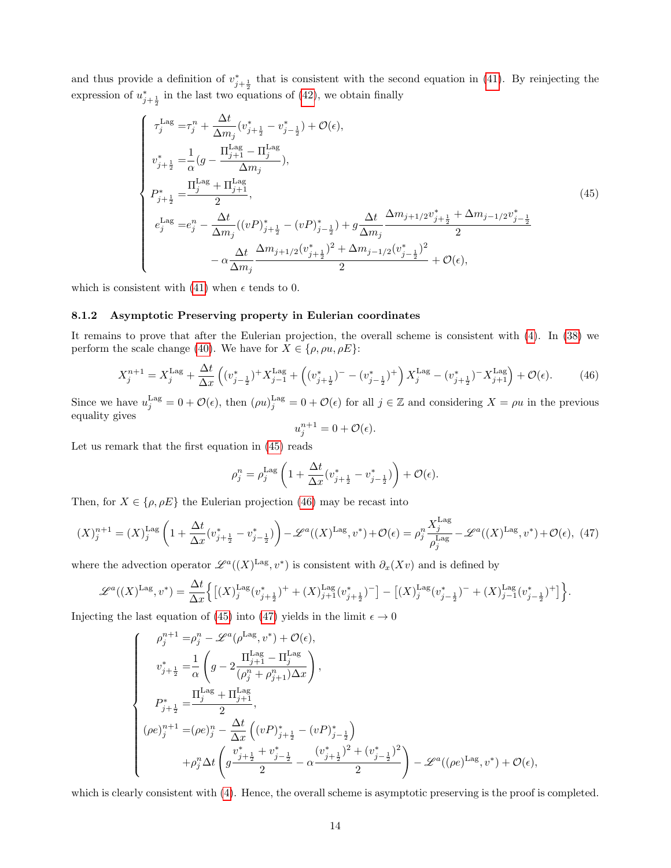and thus provide a definition of  $v_{j+\frac{1}{2}}^*$  that is consistent with the second equation in [\(41\)](#page-12-3). By reinjecting the expression of  $u_{j+\frac{1}{2}}^*$  in the last two equations of [\(42\)](#page-12-1), we obtain finally

<span id="page-13-0"></span>
$$
\begin{cases}\n\tau_{j}^{\text{Lag}} = \tau_{j}^{n} + \frac{\Delta t}{\Delta m_{j}} (v_{j+\frac{1}{2}}^{*} - v_{j-\frac{1}{2}}^{*}) + \mathcal{O}(\epsilon), \\
v_{j+\frac{1}{2}}^{*} = \frac{1}{\alpha} (g - \frac{\Pi_{j+1}^{\text{Lag}} - \Pi_{j}^{\text{Lag}}}{\Delta m_{j}}), \\
P_{j+\frac{1}{2}}^{*} = \frac{\Pi_{j}^{\text{Lag}} + \Pi_{j+1}^{\text{Lag}}}{2}, \\
e_{j}^{\text{Lag}} = e_{j}^{n} - \frac{\Delta t}{\Delta m_{j}} ((vP)_{j+\frac{1}{2}}^{*} - (vP)_{j-\frac{1}{2}}^{*}) + g \frac{\Delta t}{\Delta m_{j}} \frac{\Delta m_{j+1/2} v_{j+\frac{1}{2}}^{*} + \Delta m_{j-1/2} v_{j-\frac{1}{2}}^{*}}{2} \\
&\quad - \alpha \frac{\Delta t}{\Delta m_{j}} \frac{\Delta m_{j+1/2} (v_{j+\frac{1}{2}}^{*})^{2} + \Delta m_{j-1/2} (v_{j-\frac{1}{2}}^{*})^{2}}{2} + \mathcal{O}(\epsilon),\n\end{cases}
$$
\n(45)

which is consistent with [\(41\)](#page-12-3) when  $\epsilon$  tends to 0.

#### 8.1.2 Asymptotic Preserving property in Eulerian coordinates

It remains to prove that after the Eulerian projection, the overall scheme is consistent with [\(4\)](#page-2-1). In [\(38\)](#page-11-2) we perform the scale change [\(40\)](#page-12-0). We have for  $X \in \{\rho, \rho u, \rho E\}$ :

<span id="page-13-1"></span>
$$
X_j^{n+1} = X_j^{\text{Lag}} + \frac{\Delta t}{\Delta x} \left( (v_{j-\frac{1}{2}}^*)^+ X_{j-1}^{\text{Lag}} + \left( (v_{j+\frac{1}{2}}^*)^- - (v_{j-\frac{1}{2}}^*)^+ \right) X_j^{\text{Lag}} - (v_{j+\frac{1}{2}}^*)^- X_{j+1}^{\text{Lag}} \right) + \mathcal{O}(\epsilon). \tag{46}
$$

Since we have  $u_j^{\text{Lag}} = 0 + \mathcal{O}(\epsilon)$ , then  $(\rho u)_j^{\text{Lag}} = 0 + \mathcal{O}(\epsilon)$  for all  $j \in \mathbb{Z}$  and considering  $X = \rho u$  in the previous equality gives

$$
u_j^{n+1} = 0 + \mathcal{O}(\epsilon).
$$

Let us remark that the first equation in [\(45\)](#page-13-0) reads

$$
\rho_j^n = \rho_j^{\text{Lag}} \left( 1 + \frac{\Delta t}{\Delta x} (v_{j+\frac{1}{2}}^* - v_{j-\frac{1}{2}}^*) \right) + \mathcal{O}(\epsilon).
$$

Then, for  $X \in \{\rho, \rho E\}$  the Eulerian projection [\(46\)](#page-13-1) may be recast into

<span id="page-13-2"></span>
$$
(X)_j^{n+1} = (X)_j^{\text{Lag}} \left( 1 + \frac{\Delta t}{\Delta x} (v_{j+\frac{1}{2}}^* - v_{j-\frac{1}{2}}^*) \right) - \mathcal{L}^a((X)^{\text{Lag}}, v^*) + \mathcal{O}(\epsilon) = \rho_j^n \frac{X_j^{\text{Lag}}}{\rho_j^{\text{Lag}}} - \mathcal{L}^a((X)^{\text{Lag}}, v^*) + \mathcal{O}(\epsilon), \tag{47}
$$

where the advection operator  $\mathscr{L}^a((X)^{\mathrm{Lag}}, v^*)$  is consistent with  $\partial_x(Xv)$  and is defined by

$$
\mathscr{L}^{a}((X)^{\mathrm{Lag}},v^{*}) = \frac{\Delta t}{\Delta x} \Big\{ \big[(X)^{\mathrm{Lag}}_{j}(v_{j+\frac{1}{2}}^{*})^{+} + (X)^{\mathrm{Lag}}_{j+1}(v_{j+\frac{1}{2}}^{*})^{-} \big] - \big[(X)^{\mathrm{Lag}}_{j}(v_{j-\frac{1}{2}}^{*})^{-} + (X)^{\mathrm{Lag}}_{j-1}(v_{j-\frac{1}{2}}^{*})^{+} \big] \Big\}.
$$

Injecting the last equation of [\(45\)](#page-13-0) into [\(47\)](#page-13-2) yields in the limit  $\epsilon \to 0$ 

$$
\left\{\begin{array}{lll} &\rho_{j}^{n+1}=\!\rho_{j}^{n}-\mathscr{L}^{a}(\rho^{\mathrm{Lag}},v^{*})+\mathcal{O}(\epsilon),\\ \\ &v_{j+\frac{1}{2}}^{*}=\frac{1}{\alpha}\left(g-2\frac{\Pi_{j+1}^{\mathrm{Lag}}-\Pi_{j}^{\mathrm{Lag}}}{(\rho_{j}^{n}+\rho_{j+1}^{n})\Delta x}\right),\\ \\ &P_{j+\frac{1}{2}}^{*}=\frac{\Pi_{j}^{\mathrm{Lag}}+\Pi_{j+1}^{\mathrm{Lag}}}{2},\\ \\ &(\rho e)_{j}^{n+1}=(\rho e)_{j}^{n}-\frac{\Delta t}{\Delta x}\left((vP)_{j+\frac{1}{2}}^{*}-(vP)_{j-\frac{1}{2}}^{*}\right)\\ &\qquad \qquad+\rho_{j}^{n}\Delta t\left(g\frac{v_{j+\frac{1}{2}}^{*}+v_{j-\frac{1}{2}}^{*}}{2}-\alpha\frac{\left(v_{j+\frac{1}{2}}^{*}\right)^{2}+\left(v_{j-\frac{1}{2}}^{*}\right)^{2}}{2}\right)-\mathscr{L}^{a}((\rho e)^{\mathrm{Lag}},v^{*})+\mathcal{O}(\epsilon), \end{array}\right.
$$

which is clearly consistent with [\(4\)](#page-2-1). Hence, the overall scheme is asymptotic preserving is the proof is completed.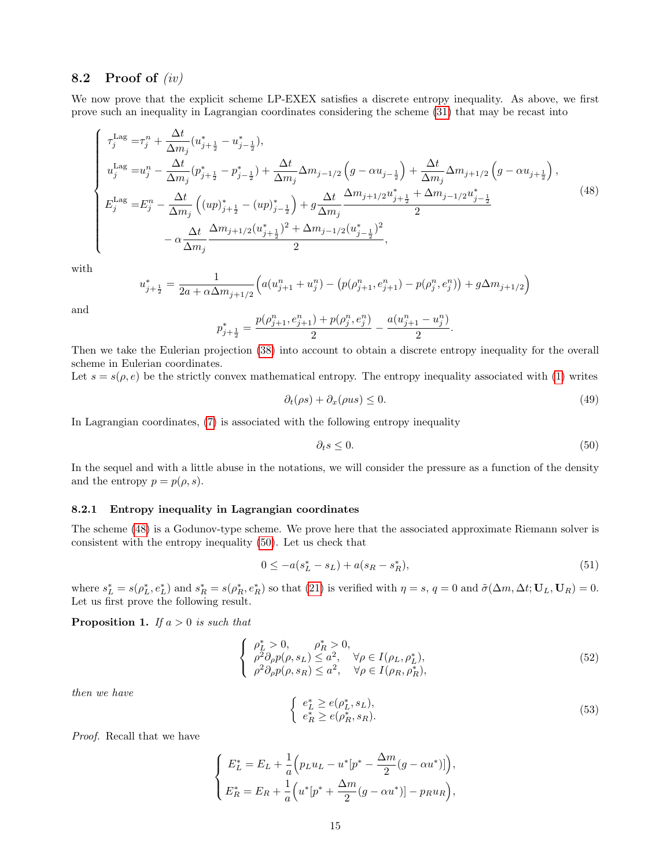### 8.2 Proof of  $(iv)$

We now prove that the explicit scheme LP-EXEX satisfies a discrete entropy inequality. As above, we first prove such an inequality in Lagrangian coordinates considering the scheme [\(31\)](#page-10-1) that may be recast into

<span id="page-14-0"></span>
$$
\begin{cases}\n\tau_{j}^{\text{Lag}} = \tau_{j}^{n} + \frac{\Delta t}{\Delta m_{j}} (u_{j+\frac{1}{2}}^{*} - u_{j-\frac{1}{2}}^{*}), \\
u_{j}^{\text{Lag}} = u_{j}^{n} - \frac{\Delta t}{\Delta m_{j}} (p_{j+\frac{1}{2}}^{*} - p_{j-\frac{1}{2}}^{*}) + \frac{\Delta t}{\Delta m_{j}} \Delta m_{j-1/2} \left(g - \alpha u_{j-\frac{1}{2}}\right) + \frac{\Delta t}{\Delta m_{j}} \Delta m_{j+1/2} \left(g - \alpha u_{j+\frac{1}{2}}\right), \\
E_{j}^{\text{Lag}} = E_{j}^{n} - \frac{\Delta t}{\Delta m_{j}} \left( (up)_{j+\frac{1}{2}}^{*} - (up)_{j-\frac{1}{2}}^{*} \right) + g \frac{\Delta t}{\Delta m_{j}} \frac{\Delta m_{j+1/2} u_{j+\frac{1}{2}}^{*} + \Delta m_{j-1/2} u_{j-\frac{1}{2}}^{*}}{2} \\
- \alpha \frac{\Delta t}{\Delta m_{j}} \frac{\Delta m_{j+1/2} (u_{j+\frac{1}{2}}^{*})^{2} + \Delta m_{j-1/2} (u_{j-\frac{1}{2}}^{*})^{2}}{2},\n\end{cases} (48)
$$

with

$$
u_{j+\frac{1}{2}}^* = \frac{1}{2a + \alpha \Delta m_{j+1/2}} \Big( a(u_{j+1}^n + u_j^n) - \big( p(\rho_{j+1}^n, e_{j+1}^n) - p(\rho_j^n, e_j^n) \big) + g\Delta m_{j+1/2} \Big)
$$

and

$$
p_{j+\frac{1}{2}}^* = \frac{p(\rho_{j+1}^n, e_{j+1}^n) + p(\rho_j^n, e_j^n)}{2} - \frac{a(u_{j+1}^n - u_j^n)}{2}.
$$

Then we take the Eulerian projection [\(38\)](#page-11-2) into account to obtain a discrete entropy inequality for the overall scheme in Eulerian coordinates.

Let  $s = s(\rho, e)$  be the strictly convex mathematical entropy. The entropy inequality associated with [\(1\)](#page-1-0) writes

$$
\partial_t(\rho s) + \partial_x(\rho u s) \le 0. \tag{49}
$$

In Lagrangian coordinates, [\(7\)](#page-3-1) is associated with the following entropy inequality

<span id="page-14-1"></span>
$$
\partial_t s \le 0. \tag{50}
$$

In the sequel and with a little abuse in the notations, we will consider the pressure as a function of the density and the entropy  $p = p(\rho, s)$ .

#### 8.2.1 Entropy inequality in Lagrangian coordinates

The scheme [\(48\)](#page-14-0) is a Godunov-type scheme. We prove here that the associated approximate Riemann solver is consistent with the entropy inequality [\(50\)](#page-14-1). Let us check that

<span id="page-14-2"></span>
$$
0 \le -a(s_L^* - s_L) + a(s_R - s_R^*),\tag{51}
$$

where  $s_L^* = s(\rho_L^*, e_L^*)$  and  $s_R^* = s(\rho_R^*, e_R^*)$  so that [\(21\)](#page-7-2) is verified with  $\eta = s$ ,  $q = 0$  and  $\tilde{\sigma}(\Delta m, \Delta t; \mathbf{U}_L, \mathbf{U}_R) = 0$ . Let us first prove the following result.

**Proposition 1.** If  $a > 0$  is such that

$$
\begin{cases}\n\rho_L^* > 0, & \rho_R^* > 0, \\
\rho^2 \partial_\rho p(\rho, s_L) \le a^2, & \forall \rho \in I(\rho_L, \rho_L^*), \\
\rho^2 \partial_\rho p(\rho, s_R) \le a^2, & \forall \rho \in I(\rho_R, \rho_R^*),\n\end{cases}
$$
\n(52)

then we have

$$
\begin{cases} e_L^* \ge e(\rho_L^*, s_L), \\ e_R^* \ge e(\rho_R^*, s_R). \end{cases} \tag{53}
$$

Proof. Recall that we have

$$
\begin{cases}\nE_L^* = E_L + \frac{1}{a} \Big( p_L u_L - u^* [p^* - \frac{\Delta m}{2} (g - \alpha u^*)] \Big), \\
E_R^* = E_R + \frac{1}{a} \Big( u^* [p^* + \frac{\Delta m}{2} (g - \alpha u^*)] - p_R u_R \Big),\n\end{cases}
$$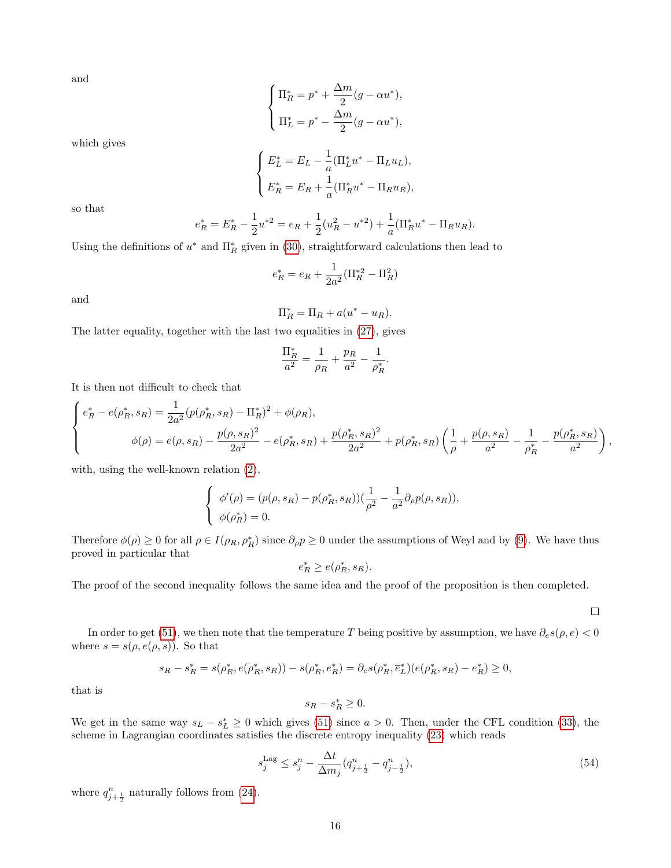and

$$
\begin{cases} \Pi_R^* = p^* + \frac{\Delta m}{2} (g - \alpha u^*), \\ \Pi_L^* = p^* - \frac{\Delta m}{2} (g - \alpha u^*), \end{cases}
$$

which gives

$$
\begin{cases}\nE_L^* = E_L - \frac{1}{a} (\Pi_L^* u^* - \Pi_L u_L), \\
E_R^* = E_R + \frac{1}{a} (\Pi_R^* u^* - \Pi_R u_R),\n\end{cases}
$$

so that

$$
e_R^* = E_R^* - \frac{1}{2}u^{*2} = e_R + \frac{1}{2}(u_R^2 - u^{*2}) + \frac{1}{a}(\Pi_R^*u^* - \Pi_R u_R).
$$

Using the definitions of  $u^*$  and  $\Pi_R^*$  given in [\(30\)](#page-9-0), straightforward calculations then lead to

$$
e_R^* = e_R + \frac{1}{2a^2} (\Pi_R^{*2} - \Pi_R^2)
$$

and

$$
\Pi_R^* = \Pi_R + a(u^* - u_R).
$$

The latter equality, together with the last two equalities in [\(27\)](#page-8-1), gives

$$
\frac{\Pi_R^*}{a^2}=\frac{1}{\rho_R}+\frac{p_R}{a^2}-\frac{1}{\rho_R^*}.
$$

It is then not difficult to check that

$$
\begin{cases} e_R^* - e(\rho_R^*, s_R) = \frac{1}{2a^2} (p(\rho_R^*, s_R) - \Pi_R^*)^2 + \phi(\rho_R), \\ \phi(\rho) = e(\rho, s_R) - \frac{p(\rho, s_R)^2}{2a^2} - e(\rho_R^*, s_R) + \frac{p(\rho_R^*, s_R)^2}{2a^2} + p(\rho_R^*, s_R) \left(\frac{1}{\rho} + \frac{p(\rho, s_R)}{a^2} - \frac{1}{\rho_R^*} - \frac{p(\rho_R^*, s_R)}{a^2}\right), \end{cases}
$$

with, using the well-known relation [\(2\)](#page-1-2),

$$
\begin{cases} \phi'(\rho) = (p(\rho, s_R) - p(\rho_R^*, s_R))(\frac{1}{\rho^2} - \frac{1}{a^2} \partial_\rho p(\rho, s_R)),\\ \phi(\rho_R^*) = 0. \end{cases}
$$

Therefore  $\phi(\rho) \ge 0$  for all  $\rho \in I(\rho_R, \rho_R^*)$  since  $\partial_\rho p \ge 0$  under the assumptions of Weyl and by [\(9\)](#page-4-2). We have thus proved in particular that

$$
e_R^* \ge e(\rho_R^*, s_R).
$$

The proof of the second inequality follows the same idea and the proof of the proposition is then completed.

 $\Box$ 

In order to get [\(51\)](#page-14-2), we then note that the temperature T being positive by assumption, we have  $\partial_e s(\rho, e) < 0$ where  $s = s(\rho, e(\rho, s))$ . So that

$$
s_R - s_R^* = s(\rho_R^*, e(\rho_R^*, s_R)) - s(\rho_R^*, e_R^*) = \partial_e s(\rho_R^*, \bar{e}_L^*)(e(\rho_R^*, s_R) - e_R^*) \ge 0,
$$

that is

$$
s_R - s_R^* \ge 0.
$$

We get in the same way  $s_L - s_L^* \geq 0$  which gives [\(51\)](#page-14-2) since  $a > 0$ . Then, under the CFL condition [\(33\)](#page-10-6), the scheme in Lagrangian coordinates satisfies the discrete entropy inequality [\(23\)](#page-7-3) which reads

<span id="page-15-0"></span>
$$
s_j^{\text{Lag}} \le s_j^n - \frac{\Delta t}{\Delta m_j} (q_{j+\frac{1}{2}}^n - q_{j-\frac{1}{2}}^n),\tag{54}
$$

where  $q_{j+\frac{1}{2}}^{n}$  naturally follows from [\(24\)](#page-7-4).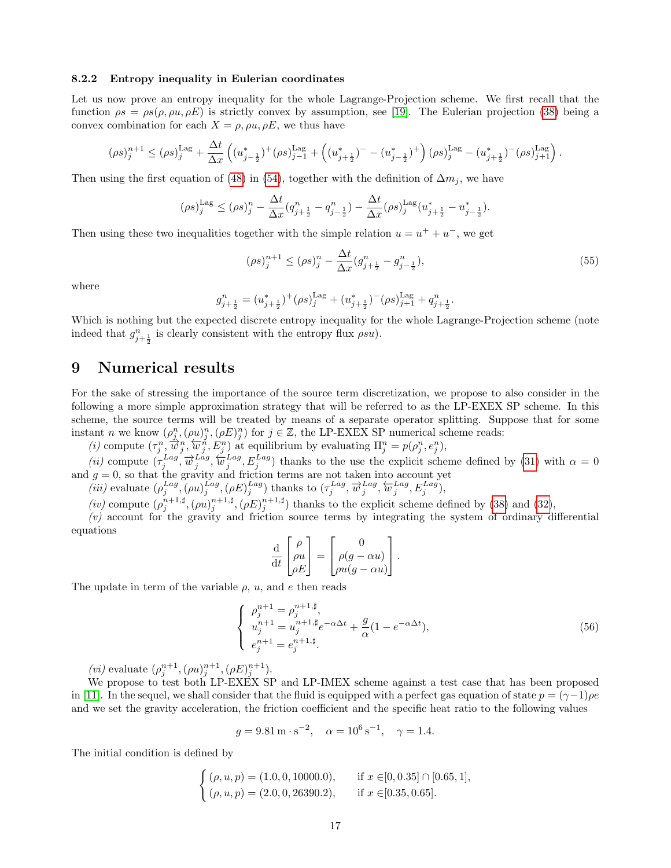#### 8.2.2 Entropy inequality in Eulerian coordinates

Let us now prove an entropy inequality for the whole Lagrange-Projection scheme. We first recall that the function  $\rho s = \rho s(\rho, \rho u, \rho E)$  is strictly convex by assumption, see [\[19\]](#page-21-7). The Eulerian projection [\(38\)](#page-11-2) being a convex combination for each  $X = \rho, \rho u, \rho E$ , we thus have

$$
(\rho s)_j^{n+1} \leq (\rho s)_j^{\text{Lag}} + \frac{\Delta t}{\Delta x} \left( (u_{j-\frac{1}{2}}^*)^+ (\rho s)_{j-1}^{\text{Lag}} + \left( (u_{j+\frac{1}{2}}^*)^- - (u_{j-\frac{1}{2}}^*)^+ \right) (\rho s)_j^{\text{Lag}} - (u_{j+\frac{1}{2}}^*)^-(\rho s)_{j+1}^{\text{Lag}} \right).
$$

Then using the first equation of [\(48\)](#page-14-0) in [\(54\)](#page-15-0), together with the definition of  $\Delta m_j$ , we have

$$
(\rho s)_j^{\text{Lag}} \leq (\rho s)_j^n - \frac{\Delta t}{\Delta x} (q_{j+\frac{1}{2}}^n - q_{j-\frac{1}{2}}^n) - \frac{\Delta t}{\Delta x} (\rho s)_j^{\text{Lag}} (u_{j+\frac{1}{2}}^* - u_{j-\frac{1}{2}}^*).
$$

Then using these two inequalities together with the simple relation  $u = u^+ + u^-$ , we get

$$
(\rho s)_j^{n+1} \le (\rho s)_j^n - \frac{\Delta t}{\Delta x} (g_{j+\frac{1}{2}}^n - g_{j-\frac{1}{2}}^n),\tag{55}
$$

where

$$
g_{j+\frac{1}{2}}^n = (u_{j+\frac{1}{2}}^*)^+(\rho s)_j^{\text{Lag}} + (u_{j+\frac{1}{2}}^*)^-(\rho s)_{j+1}^{\text{Lag}} + q_{j+\frac{1}{2}}^n.
$$

Which is nothing but the expected discrete entropy inequality for the whole Lagrange-Projection scheme (note indeed that  $g_{j+\frac{1}{2}}^n$  is clearly consistent with the entropy flux  $\rho s u$ ).

### 9 Numerical results

For the sake of stressing the importance of the source term discretization, we propose to also consider in the following a more simple approximation strategy that will be referred to as the LP-EXEX SP scheme. In this scheme, the source terms will be treated by means of a separate operator splitting. Suppose that for some instant n we know  $(\rho_{j_s}^n, (\rho u)_j^n, (\rho E)_j^n)$  for  $j \in \mathbb{Z}$ , the LP-EXEX SP numerical scheme reads:

(*i*) compute  $(\tau_j^n, \overline{\hat{w}}_j^n, \overleftarrow{w}_j^n, E_j^n)$  at equilibrium by evaluating  $\Pi_j^n = p(\rho_j^n, e_j^n)$ ,

(*ii*) compute  $(\tau_j^{Lag}, \overline{\psi}_j^{Lag}, \overleftarrow{\psi}_j^{Lag}, E_j^{Lag})$  thanks to the use the explicit scheme defined by [\(31\)](#page-10-1) with  $\alpha = 0$ and  $g = 0$ , so that the gravity and friction terms are not taken into account yet

(iii) evaluate  $(\rho_j^{Lag}, (\rho u)_j^{Lag}, (\rho E)_j^{Lag})$  thanks to  $(\tau_j^{Lag}, \overrightarrow{w}_j^{Lag}, \overleftarrow{w}_j^{Lag}, E_j^{Lag})$ ,

(iv) compute  $(\rho_j^{n+1,\sharp},(\rho u)_j^{n+1,\sharp},(\rho E)_j^{n+1,\sharp})$  thanks to the explicit scheme defined by [\(38\)](#page-11-2) and [\(32\)](#page-10-5),

(v) account for the gravity and friction source terms by integrating the system of ordinary differential equations

$$
\frac{\mathrm{d}}{\mathrm{d}t} \begin{bmatrix} \rho \\ \rho u \\ \rho E \end{bmatrix} = \begin{bmatrix} 0 \\ \rho(g - \alpha u) \\ \rho u(g - \alpha u) \end{bmatrix}.
$$

The update in term of the variable  $\rho$ ,  $u$ , and  $e$  then reads

$$
\begin{cases}\n\rho_j^{n+1} = \rho_j^{n+1, \sharp}, \\
u_j^{n+1} = u_j^{n+1, \sharp} e^{-\alpha \Delta t} + \frac{g}{\alpha} (1 - e^{-\alpha \Delta t}), \\
e_j^{n+1} = e_j^{n+1, \sharp}.\n\end{cases} \tag{56}
$$

(*vi*) evaluate  $(\rho_j^{n+1}, (\rho u)_j^{n+1}, (\rho E)_j^{n+1}).$ 

We propose to test both LP-EXEX SP and LP-IMEX scheme against a test case that has been proposed in [\[11\]](#page-20-0). In the sequel, we shall consider that the fluid is equipped with a perfect gas equation of state  $p = (\gamma - 1)\rho e$ and we set the gravity acceleration, the friction coefficient and the specific heat ratio to the following values

$$
g = 9.81 \,\mathrm{m \cdot s^{-2}}, \quad \alpha = 10^6 \,\mathrm{s^{-1}}, \quad \gamma = 1.4.
$$

The initial condition is defined by

$$
\begin{cases}\n(\rho, u, p) = (1.0, 0, 10000.0), & \text{if } x \in [0, 0.35] \cap [0.65, 1], \\
(\rho, u, p) = (2.0, 0, 26390.2), & \text{if } x \in [0.35, 0.65].\n\end{cases}
$$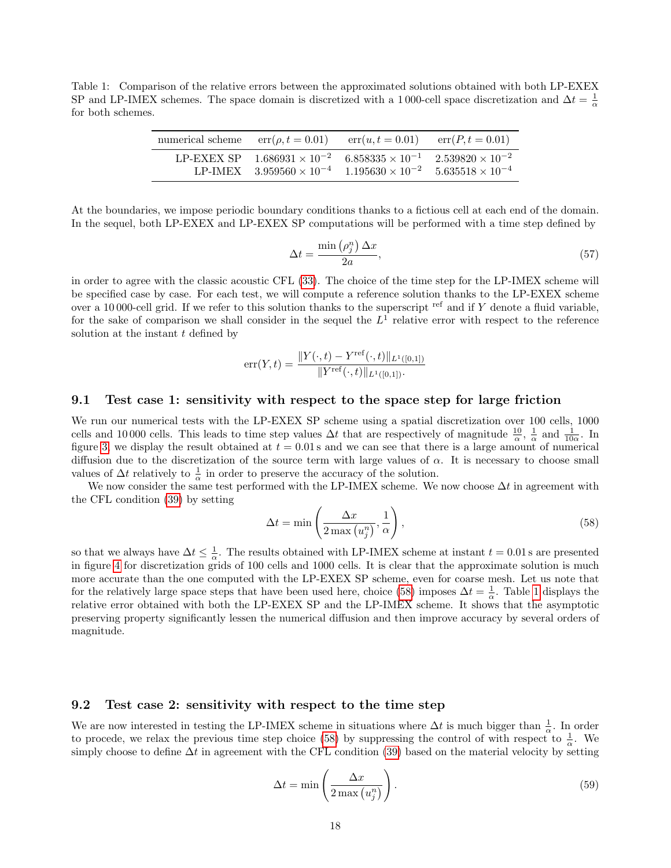<span id="page-17-1"></span>Table 1: Comparison of the relative errors between the approximated solutions obtained with both LP-EXEX SP and LP-IMEX schemes. The space domain is discretized with a 1000-cell space discretization and  $\Delta t = \frac{1}{\alpha}$ for both schemes.

| numerical scheme $err(\rho, t = 0.01)$ $err(u, t = 0.01)$ $err(P, t = 0.01)$ |                                                                                                                                                         |                           |
|------------------------------------------------------------------------------|---------------------------------------------------------------------------------------------------------------------------------------------------------|---------------------------|
|                                                                              | LP-EXEX SP $1.686931 \times 10^{-2}$ $6.858335 \times 10^{-1}$ $2.539820 \times 10^{-2}$<br>LP-IMEX $3.959560 \times 10^{-4}$ $1.195630 \times 10^{-2}$ | $5.635518 \times 10^{-4}$ |

At the boundaries, we impose periodic boundary conditions thanks to a fictious cell at each end of the domain. In the sequel, both LP-EXEX and LP-EXEX SP computations will be performed with a time step defined by

$$
\Delta t = \frac{\min\left(\rho_j^n\right)\Delta x}{2a},\tag{57}
$$

in order to agree with the classic acoustic CFL [\(33\)](#page-10-6). The choice of the time step for the LP-IMEX scheme will be specified case by case. For each test, we will compute a reference solution thanks to the LP-EXEX scheme over a 10000-cell grid. If we refer to this solution thanks to the superscript ref and if  $Y$  denote a fluid variable, for the sake of comparison we shall consider in the sequel the  $L<sup>1</sup>$  relative error with respect to the reference solution at the instant  $t$  defined by

$$
err(Y, t) = \frac{\|Y(\cdot, t) - Y^{ref}(\cdot, t)\|_{L^{1}([0,1])}}{\|Y^{ref}(\cdot, t)\|_{L^{1}([0,1])}}.
$$

### <span id="page-17-2"></span>9.1 Test case 1: sensitivity with respect to the space step for large friction

We run our numerical tests with the LP-EXEX SP scheme using a spatial discretization over 100 cells, 1000 cells and 10000 cells. This leads to time step values  $\Delta t$  that are respectively of magnitude  $\frac{10}{\alpha}$ ,  $\frac{1}{\alpha}$  and  $\frac{1}{10\alpha}$ . In figure [3,](#page-18-0) we display the result obtained at  $t = 0.01$  s and we can see that there is a large amount of numerical diffusion due to the discretization of the source term with large values of  $\alpha$ . It is necessary to choose small values of  $\Delta t$  relatively to  $\frac{1}{\alpha}$  in order to preserve the accuracy of the solution.

We now consider the same test performed with the LP-IMEX scheme. We now choose  $\Delta t$  in agreement with the CFL condition [\(39\)](#page-11-3) by setting

<span id="page-17-0"></span>
$$
\Delta t = \min\left(\frac{\Delta x}{2\max(u_j^n)}, \frac{1}{\alpha}\right),\tag{58}
$$

so that we always have  $\Delta t \leq \frac{1}{\alpha}$ . The results obtained with LP-IMEX scheme at instant  $t = 0.01$  s are presented in figure [4](#page-19-8) for discretization grids of 100 cells and 1000 cells. It is clear that the approximate solution is much more accurate than the one computed with the LP-EXEX SP scheme, even for coarse mesh. Let us note that for the relatively large space steps that have been used here, choice [\(58\)](#page-17-0) imposes  $\Delta t = \frac{1}{\alpha}$ . Table [1](#page-17-1) displays the relative error obtained with both the LP-EXEX SP and the LP-IMEX scheme. It shows that the asymptotic preserving property significantly lessen the numerical diffusion and then improve accuracy by several orders of magnitude.

#### 9.2 Test case 2: sensitivity with respect to the time step

We are now interested in testing the LP-IMEX scheme in situations where  $\Delta t$  is much bigger than  $\frac{1}{\alpha}$ . In order to procede, we relax the previous time step choice [\(58\)](#page-17-0) by suppressing the control of with respect to  $\frac{1}{\alpha}$ . We simply choose to define  $\Delta t$  in agreement with the CFL condition [\(39\)](#page-11-3) based on the material velocity by setting

$$
\Delta t = \min \left( \frac{\Delta x}{2 \max (u_j^n)} \right). \tag{59}
$$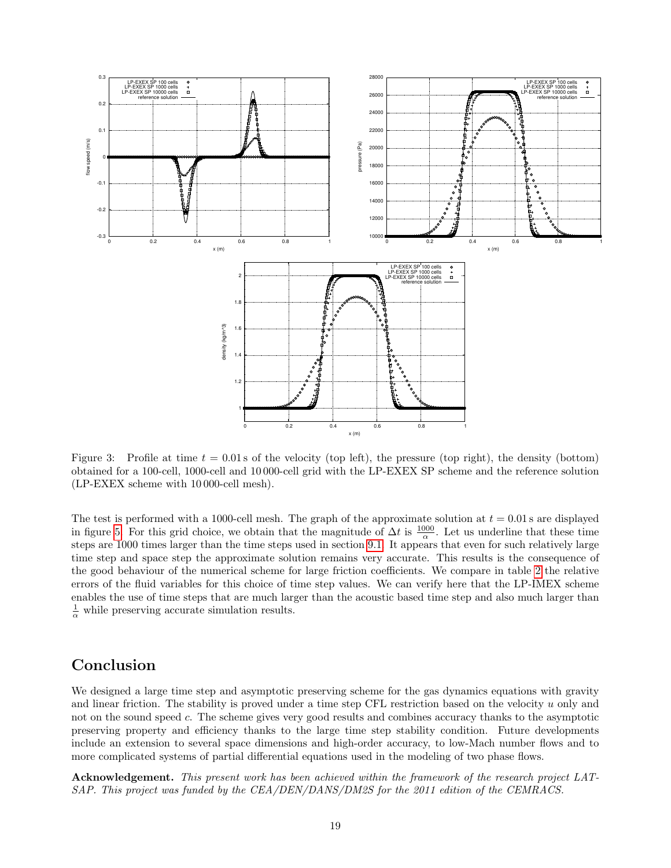

<span id="page-18-0"></span>Figure 3: Profile at time  $t = 0.01$  s of the velocity (top left), the pressure (top right), the density (bottom) obtained for a 100-cell, 1000-cell and 10 000-cell grid with the LP-EXEX SP scheme and the reference solution (LP-EXEX scheme with 10 000-cell mesh).

The test is performed with a 1000-cell mesh. The graph of the approximate solution at  $t = 0.01$  s are displayed in figure [5.](#page-20-3) For this grid choice, we obtain that the magnitude of  $\Delta t$  is  $\frac{1000}{\alpha}$ . Let us underline that these time steps are 1000 times larger than the time steps used in section [9.1.](#page-17-2) It appears that even for such relatively large time step and space step the approximate solution remains very accurate. This results is the consequence of the good behaviour of the numerical scheme for large friction coefficients. We compare in table [2](#page-20-4) the relative errors of the fluid variables for this choice of time step values. We can verify here that the LP-IMEX scheme enables the use of time steps that are much larger than the acoustic based time step and also much larger than  $\frac{1}{\alpha}$  while preserving accurate simulation results.

### Conclusion

We designed a large time step and asymptotic preserving scheme for the gas dynamics equations with gravity and linear friction. The stability is proved under a time step CFL restriction based on the velocity u only and not on the sound speed c. The scheme gives very good results and combines accuracy thanks to the asymptotic preserving property and efficiency thanks to the large time step stability condition. Future developments include an extension to several space dimensions and high-order accuracy, to low-Mach number flows and to more complicated systems of partial differential equations used in the modeling of two phase flows.

Acknowledgement. This present work has been achieved within the framework of the research project LAT-SAP. This project was funded by the CEA/DEN/DANS/DM2S for the 2011 edition of the CEMRACS.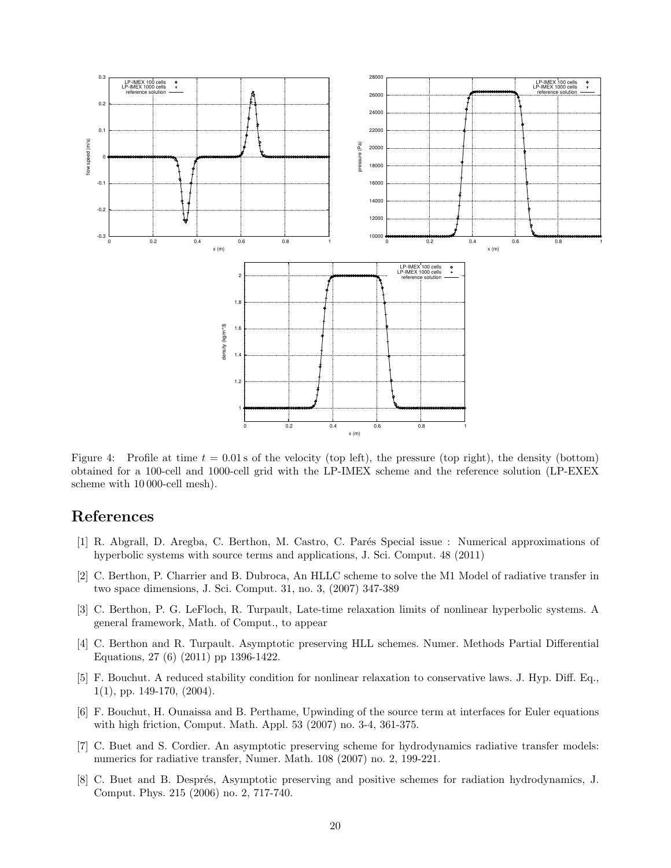

<span id="page-19-8"></span>Figure 4: Profile at time  $t = 0.01$  s of the velocity (top left), the pressure (top right), the density (bottom) obtained for a 100-cell and 1000-cell grid with the LP-IMEX scheme and the reference solution (LP-EXEX scheme with 10 000-cell mesh).

### References

- <span id="page-19-6"></span>[1] R. Abgrall, D. Aregba, C. Berthon, M. Castro, C. Par´es Special issue : Numerical approximations of hyperbolic systems with source terms and applications, J. Sci. Comput. 48 (2011)
- <span id="page-19-2"></span>[2] C. Berthon, P. Charrier and B. Dubroca, An HLLC scheme to solve the M1 Model of radiative transfer in two space dimensions, J. Sci. Comput. 31, no. 3, (2007) 347-389
- <span id="page-19-5"></span>[3] C. Berthon, P. G. LeFloch, R. Turpault, Late-time relaxation limits of nonlinear hyperbolic systems. A general framework, Math. of Comput., to appear
- <span id="page-19-3"></span>[4] C. Berthon and R. Turpault. Asymptotic preserving HLL schemes. Numer. Methods Partial Differential Equations, 27 (6) (2011) pp 1396-1422.
- <span id="page-19-7"></span>[5] F. Bouchut. A reduced stability condition for nonlinear relaxation to conservative laws. J. Hyp. Diff. Eq., 1(1), pp. 149-170, (2004).
- <span id="page-19-4"></span>[6] F. Bouchut, H. Ounaissa and B. Perthame, Upwinding of the source term at interfaces for Euler equations with high friction, Comput. Math. Appl. 53 (2007) no. 3-4, 361-375.
- <span id="page-19-1"></span>[7] C. Buet and S. Cordier. An asymptotic preserving scheme for hydrodynamics radiative transfer models: numerics for radiative transfer, Numer. Math. 108 (2007) no. 2, 199-221.
- <span id="page-19-0"></span>[8] C. Buet and B. Després, Asymptotic preserving and positive schemes for radiation hydrodynamics, J. Comput. Phys. 215 (2006) no. 2, 717-740.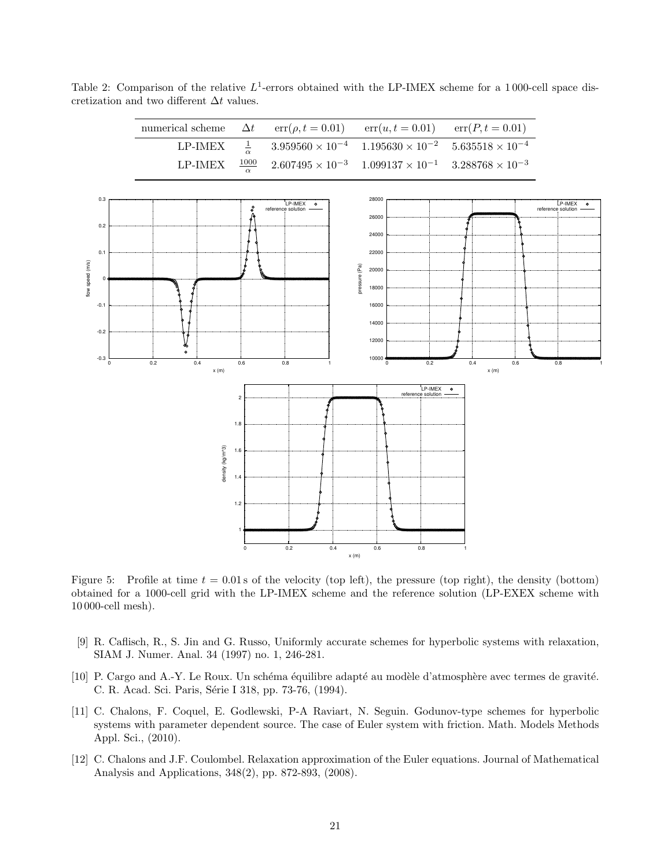<span id="page-20-4"></span>Table 2: Comparison of the relative  $L^1$ -errors obtained with the LP-IMEX scheme for a 1000-cell space discretization and two different  $\Delta t$  values.



<span id="page-20-3"></span>Figure 5: Profile at time  $t = 0.01$  s of the velocity (top left), the pressure (top right), the density (bottom) obtained for a 1000-cell grid with the LP-IMEX scheme and the reference solution (LP-EXEX scheme with 10 000-cell mesh).

- <span id="page-20-1"></span>[9] R. Caflisch, R., S. Jin and G. Russo, Uniformly accurate schemes for hyperbolic systems with relaxation, SIAM J. Numer. Anal. 34 (1997) no. 1, 246-281.
- [10] P. Cargo and A.-Y. Le Roux. Un schéma équilibre adapté au modèle d'atmosphère avec termes de gravité. C. R. Acad. Sci. Paris, Série I 318, pp. 73-76, (1994).
- <span id="page-20-0"></span>[11] C. Chalons, F. Coquel, E. Godlewski, P-A Raviart, N. Seguin. Godunov-type schemes for hyperbolic systems with parameter dependent source. The case of Euler system with friction. Math. Models Methods Appl. Sci., (2010).
- <span id="page-20-2"></span>[12] C. Chalons and J.F. Coulombel. Relaxation approximation of the Euler equations. Journal of Mathematical Analysis and Applications, 348(2), pp. 872-893, (2008).